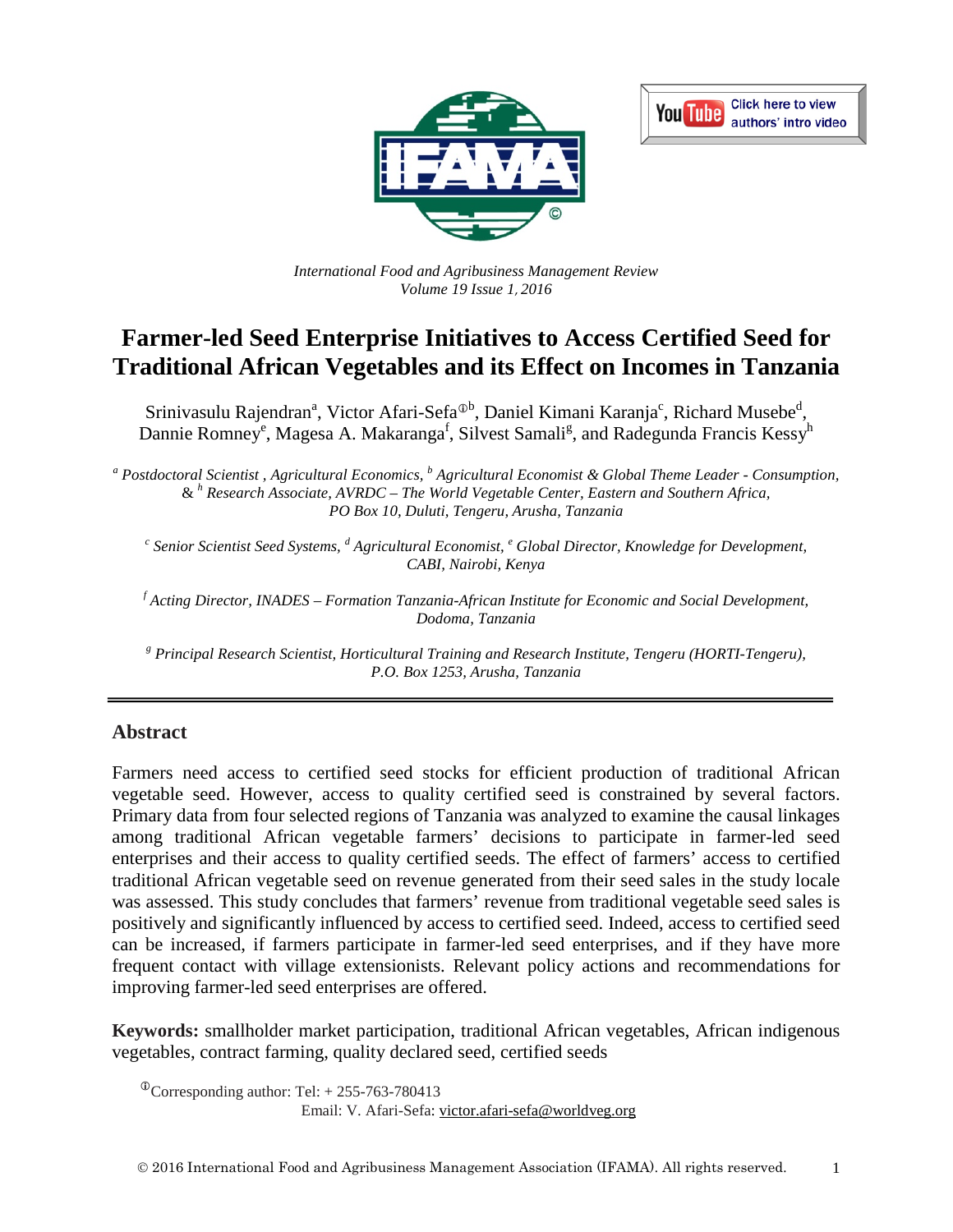



*International Food and Agribusiness Management Review Volume 19 Issue 1*, *2016*

# **Farmer-led Seed Enterprise Initiatives to Access Certified Seed for Traditional African Vegetables and its Effect on Incomes in Tanzania**

Srinivasulu Rajendran<sup>a</sup>, Victor Afari-Sefa<sup>®b</sup>, Daniel Kimani Karanja<sup>c</sup>, Richard Musebe<sup>d</sup>, Dannie Romney<sup>e</sup>, Magesa A. Makaranga<sup>f</sup>, Silvest Samali<sup>g</sup>, and Radegunda Francis Kessy<sup>h</sup>

*<sup>a</sup> Postdoctoral Scientist , Agricultural Economics, <sup>b</sup> Agricultural Economist & Global Theme Leader - Consumption,* & *<sup>h</sup> Research Associate, AVRDC – The World Vegetable Center, Eastern and Southern Africa, PO Box 10, Duluti, Tengeru, Arusha, Tanzania*

*<sup>c</sup> Senior Scientist Seed Systems, <sup>d</sup> Agricultural Economist, <sup>e</sup> Global Director, Knowledge for Development, CABI, Nairobi, Kenya*

*f Acting Director, INADES – Formation Tanzania-African Institute for Economic and Social Development, Dodoma, Tanzania*

*<sup>g</sup> Principal Research Scientist, Horticultural Training and Research Institute, Tengeru (HORTI-Tengeru), P.O. Box 1253, Arusha, Tanzania*

#### **Abstract**

Farmers need access to certified seed stocks for efficient production of traditional African vegetable seed. However, access to quality certified seed is constrained by several factors. Primary data from four selected regions of Tanzania was analyzed to examine the causal linkages among traditional African vegetable farmers' decisions to participate in farmer-led seed enterprises and their access to quality certified seeds. The effect of farmers' access to certified traditional African vegetable seed on revenue generated from their seed sales in the study locale was assessed. This study concludes that farmers' revenue from traditional vegetable seed sales is positively and significantly influenced by access to certified seed. Indeed, access to certified seed can be increased, if farmers participate in farmer-led seed enterprises, and if they have more frequent contact with village extensionists. Relevant policy actions and recommendations for improving farmer-led seed enterprises are offered.

**Keywords:** smallholder market participation, traditional African vegetables, African indigenous vegetables, contract farming, quality declared seed, certified seeds

 $\textcirc{}$ Corresponding author: Tel: + 255-763-780413

Email: V. Afari-Sefa: [victor.afari-sefa@worldveg.org](mailto:victor.afari-sefa@worldveg.org)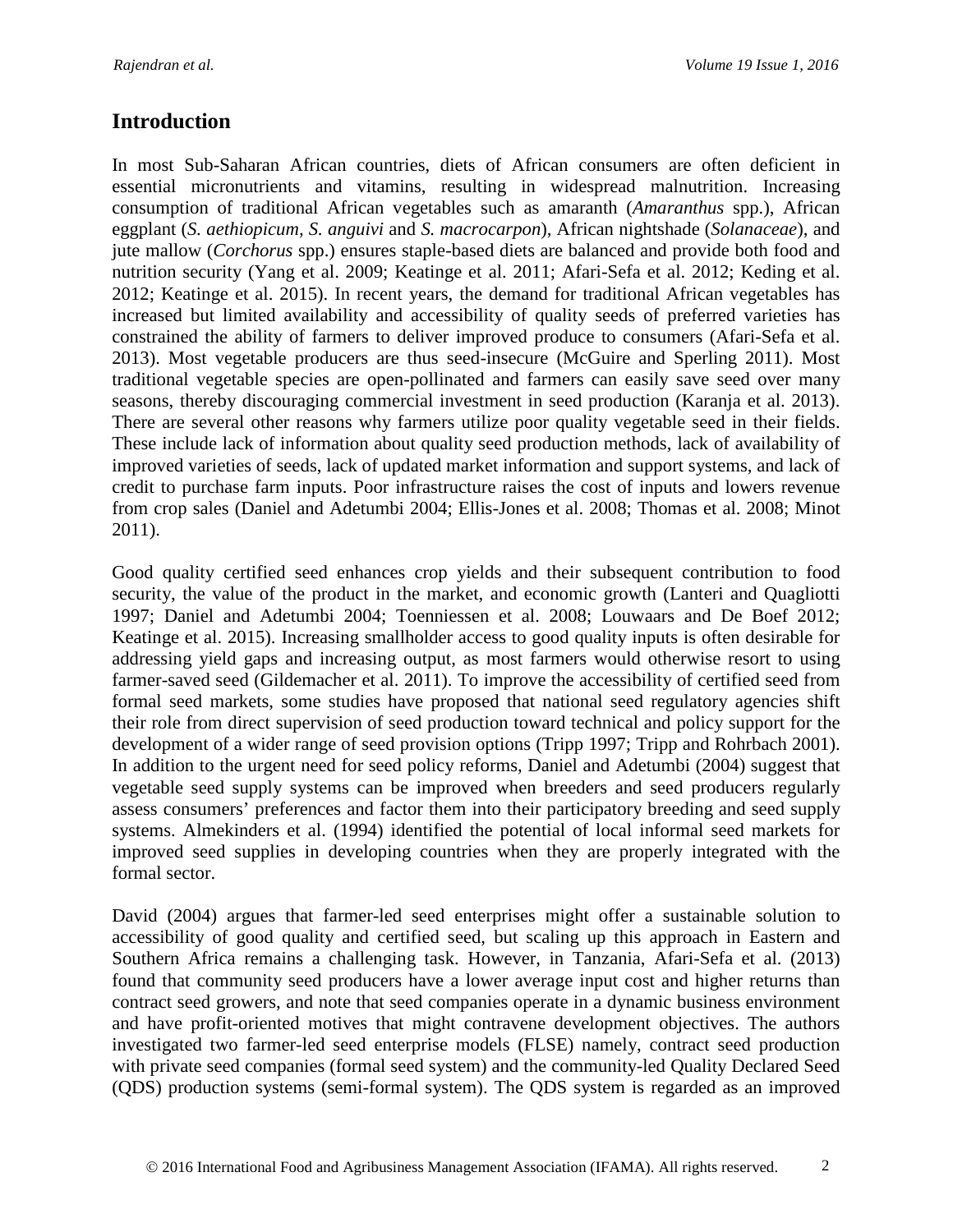## **Introduction**

In most Sub-Saharan African countries, diets of African consumers are often deficient in essential micronutrients and vitamins, resulting in widespread malnutrition. Increasing consumption of traditional African vegetables such as amaranth (*Amaranthus* spp.), African eggplant (*S. aethiopicum, S. anguivi* and *S. macrocarpon*), African nightshade (*Solanaceae*), and jute mallow (*Corchorus* spp.) ensures staple-based diets are balanced and provide both food and nutrition security (Yang et al. 2009; Keatinge et al. 2011; Afari-Sefa et al. 2012; Keding et al. 2012; Keatinge et al. 2015). In recent years, the demand for traditional African vegetables has increased but limited availability and accessibility of quality seeds of preferred varieties has constrained the ability of farmers to deliver improved produce to consumers (Afari-Sefa et al. 2013). Most vegetable producers are thus seed-insecure (McGuire and Sperling 2011). Most traditional vegetable species are open-pollinated and farmers can easily save seed over many seasons, thereby discouraging commercial investment in seed production (Karanja et al. 2013). There are several other reasons why farmers utilize poor quality vegetable seed in their fields. These include lack of information about quality seed production methods, lack of availability of improved varieties of seeds, lack of updated market information and support systems, and lack of credit to purchase farm inputs. Poor infrastructure raises the cost of inputs and lowers revenue from crop sales (Daniel and Adetumbi 2004; Ellis-Jones et al. 2008; Thomas et al. 2008; Minot 2011).

Good quality certified seed enhances crop yields and their subsequent contribution to food security, the value of the product in the market, and economic growth (Lanteri and Quagliotti 1997; Daniel and Adetumbi 2004; Toenniessen et al. 2008; Louwaars and De Boef 2012; Keatinge et al. 2015). Increasing smallholder access to good quality inputs is often desirable for addressing yield gaps and increasing output, as most farmers would otherwise resort to using farmer-saved seed (Gildemacher et al. 2011). To improve the accessibility of certified seed from formal seed markets, some studies have proposed that national seed regulatory agencies shift their role from direct supervision of seed production toward technical and policy support for the development of a wider range of seed provision options (Tripp 1997; Tripp and Rohrbach 2001). In addition to the urgent need for seed policy reforms, Daniel and Adetumbi (2004) suggest that vegetable seed supply systems can be improved when breeders and seed producers regularly assess consumers' preferences and factor them into their participatory breeding and seed supply systems. Almekinders et al. (1994) identified the potential of local informal seed markets for improved seed supplies in developing countries when they are properly integrated with the formal sector.

David (2004) argues that farmer-led seed enterprises might offer a sustainable solution to accessibility of good quality and certified seed, but scaling up this approach in Eastern and Southern Africa remains a challenging task. However, in Tanzania, Afari-Sefa et al. (2013) found that community seed producers have a lower average input cost and higher returns than contract seed growers, and note that seed companies operate in a dynamic business environment and have profit-oriented motives that might contravene development objectives. The authors investigated two farmer-led seed enterprise models (FLSE) namely, contract seed production with private seed companies (formal seed system) and the community-led Quality Declared Seed (QDS) production systems (semi-formal system). The QDS system is regarded as an improved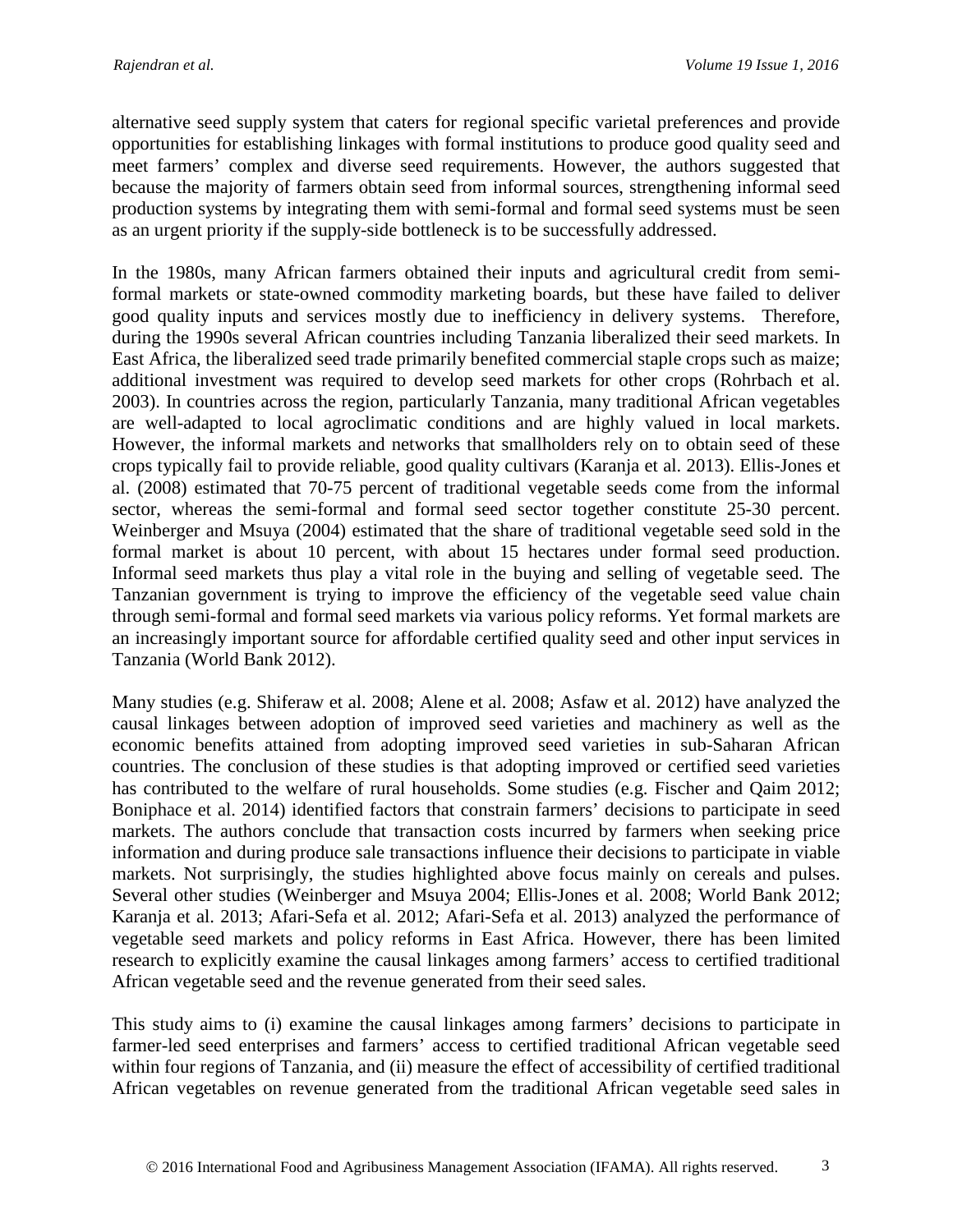alternative seed supply system that caters for regional specific varietal preferences and provide opportunities for establishing linkages with formal institutions to produce good quality seed and meet farmers' complex and diverse seed requirements. However, the authors suggested that because the majority of farmers obtain seed from informal sources, strengthening informal seed production systems by integrating them with semi-formal and formal seed systems must be seen as an urgent priority if the supply-side bottleneck is to be successfully addressed.

In the 1980s, many African farmers obtained their inputs and agricultural credit from semiformal markets or state-owned commodity marketing boards, but these have failed to deliver good quality inputs and services mostly due to inefficiency in delivery systems. Therefore, during the 1990s several African countries including Tanzania liberalized their seed markets. In East Africa, the liberalized seed trade primarily benefited commercial staple crops such as maize; additional investment was required to develop seed markets for other crops (Rohrbach et al. 2003). In countries across the region, particularly Tanzania, many traditional African vegetables are well-adapted to local agroclimatic conditions and are highly valued in local markets. However, the informal markets and networks that smallholders rely on to obtain seed of these crops typically fail to provide reliable, good quality cultivars (Karanja et al. 2013). Ellis-Jones et al. (2008) estimated that 70-75 percent of traditional vegetable seeds come from the informal sector, whereas the semi-formal and formal seed sector together constitute 25-30 percent. Weinberger and Msuya (2004) estimated that the share of traditional vegetable seed sold in the formal market is about 10 percent, with about 15 hectares under formal seed production. Informal seed markets thus play a vital role in the buying and selling of vegetable seed. The Tanzanian government is trying to improve the efficiency of the vegetable seed value chain through semi-formal and formal seed markets via various policy reforms. Yet formal markets are an increasingly important source for affordable certified quality seed and other input services in Tanzania (World Bank 2012).

Many studies (e.g. Shiferaw et al. 2008; Alene et al. 2008; Asfaw et al. 2012) have analyzed the causal linkages between adoption of improved seed varieties and machinery as well as the economic benefits attained from adopting improved seed varieties in sub-Saharan African countries. The conclusion of these studies is that adopting improved or certified seed varieties has contributed to the welfare of rural households. Some studies (e.g. Fischer and Qaim 2012; Boniphace et al. 2014) identified factors that constrain farmers' decisions to participate in seed markets. The authors conclude that transaction costs incurred by farmers when seeking price information and during produce sale transactions influence their decisions to participate in viable markets. Not surprisingly, the studies highlighted above focus mainly on cereals and pulses. Several other studies (Weinberger and Msuya 2004; Ellis-Jones et al. 2008; World Bank 2012; Karanja et al. 2013; Afari-Sefa et al. 2012; Afari-Sefa et al. 2013) analyzed the performance of vegetable seed markets and policy reforms in East Africa. However, there has been limited research to explicitly examine the causal linkages among farmers' access to certified traditional African vegetable seed and the revenue generated from their seed sales.

This study aims to (i) examine the causal linkages among farmers' decisions to participate in farmer-led seed enterprises and farmers' access to certified traditional African vegetable seed within four regions of Tanzania, and (ii) measure the effect of accessibility of certified traditional African vegetables on revenue generated from the traditional African vegetable seed sales in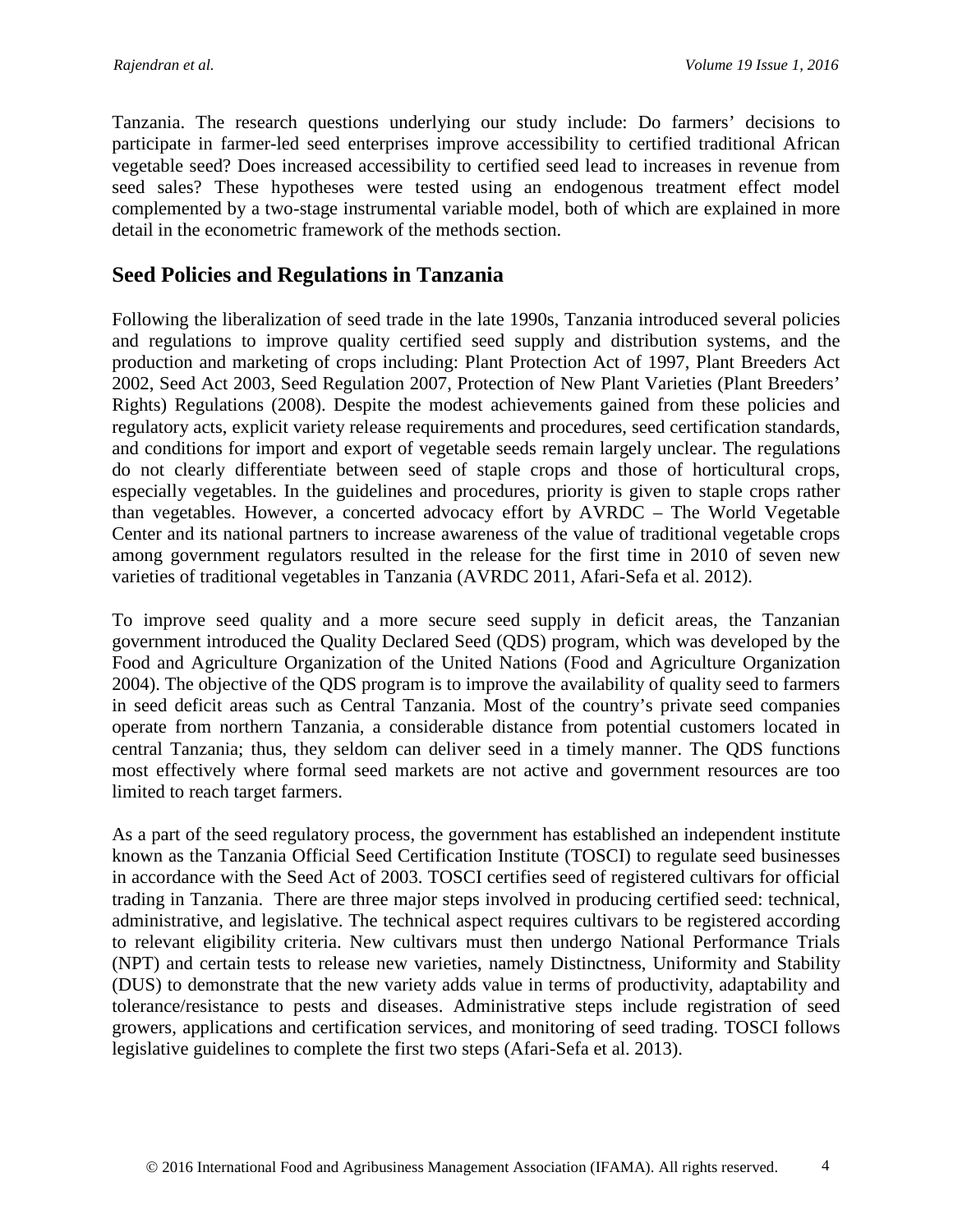Tanzania. The research questions underlying our study include: Do farmers' decisions to participate in farmer-led seed enterprises improve accessibility to certified traditional African vegetable seed? Does increased accessibility to certified seed lead to increases in revenue from seed sales? These hypotheses were tested using an endogenous treatment effect model complemented by a two-stage instrumental variable model, both of which are explained in more detail in the econometric framework of the methods section.

### **Seed Policies and Regulations in Tanzania**

Following the liberalization of seed trade in the late 1990s, Tanzania introduced several policies and regulations to improve quality certified seed supply and distribution systems, and the production and marketing of crops including: Plant Protection Act of 1997, Plant Breeders Act 2002, Seed Act 2003, Seed Regulation 2007, Protection of New Plant Varieties (Plant Breeders' Rights) Regulations (2008). Despite the modest achievements gained from these policies and regulatory acts, explicit variety release requirements and procedures, seed certification standards, and conditions for import and export of vegetable seeds remain largely unclear. The regulations do not clearly differentiate between seed of staple crops and those of horticultural crops, especially vegetables. In the guidelines and procedures, priority is given to staple crops rather than vegetables. However, a concerted advocacy effort by AVRDC – The World Vegetable Center and its national partners to increase awareness of the value of traditional vegetable crops among government regulators resulted in the release for the first time in 2010 of seven new varieties of traditional vegetables in Tanzania (AVRDC 2011, Afari-Sefa et al. 2012).

To improve seed quality and a more secure seed supply in deficit areas, the Tanzanian government introduced the Quality Declared Seed (QDS) program, which was developed by the Food and Agriculture Organization of the United Nations (Food and Agriculture Organization 2004). The objective of the QDS program is to improve the availability of quality seed to farmers in seed deficit areas such as Central Tanzania. Most of the country's private seed companies operate from northern Tanzania, a considerable distance from potential customers located in central Tanzania; thus, they seldom can deliver seed in a timely manner. The QDS functions most effectively where formal seed markets are not active and government resources are too limited to reach target farmers.

As a part of the seed regulatory process, the government has established an independent institute known as the Tanzania Official Seed Certification Institute (TOSCI) to regulate seed businesses in accordance with the Seed Act of 2003. TOSCI certifies seed of registered cultivars for official trading in Tanzania. There are three major steps involved in producing certified seed: technical, administrative, and legislative. The technical aspect requires cultivars to be registered according to relevant eligibility criteria. New cultivars must then undergo National Performance Trials (NPT) and certain tests to release new varieties, namely Distinctness, Uniformity and Stability (DUS) to demonstrate that the new variety adds value in terms of productivity, adaptability and tolerance/resistance to pests and diseases. Administrative steps include registration of seed growers, applications and certification services, and monitoring of seed trading. TOSCI follows legislative guidelines to complete the first two steps (Afari-Sefa et al. 2013).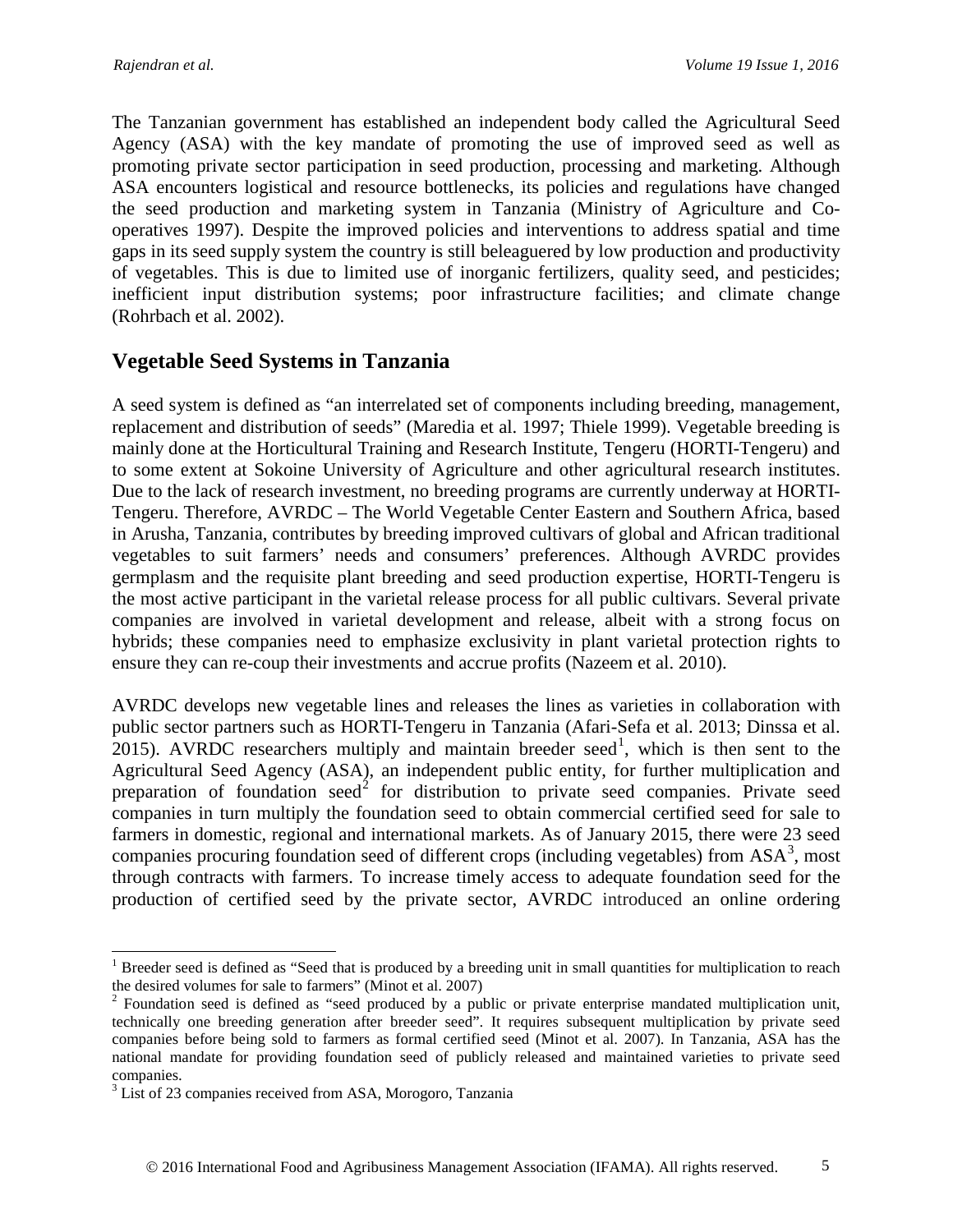The Tanzanian government has established an independent body called the Agricultural Seed Agency (ASA) with the key mandate of promoting the use of improved seed as well as promoting private sector participation in seed production, processing and marketing. Although ASA encounters logistical and resource bottlenecks, its policies and regulations have changed the seed production and marketing system in Tanzania (Ministry of Agriculture and Cooperatives 1997). Despite the improved policies and interventions to address spatial and time gaps in its seed supply system the country is still beleaguered by low production and productivity of vegetables. This is due to limited use of inorganic fertilizers, quality seed, and pesticides; inefficient input distribution systems; poor infrastructure facilities; and climate change (Rohrbach et al. 2002).

### **Vegetable Seed Systems in Tanzania**

A seed system is defined as "an interrelated set of components including breeding, management, replacement and distribution of seeds" (Maredia et al. 1997; Thiele 1999). Vegetable breeding is mainly done at the Horticultural Training and Research Institute, Tengeru (HORTI-Tengeru) and to some extent at Sokoine University of Agriculture and other agricultural research institutes. Due to the lack of research investment, no breeding programs are currently underway at HORTI-Tengeru. Therefore, AVRDC – The World Vegetable Center Eastern and Southern Africa, based in Arusha, Tanzania, contributes by breeding improved cultivars of global and African traditional vegetables to suit farmers' needs and consumers' preferences. Although AVRDC provides germplasm and the requisite plant breeding and seed production expertise, HORTI-Tengeru is the most active participant in the varietal release process for all public cultivars. Several private companies are involved in varietal development and release, albeit with a strong focus on hybrids; these companies need to emphasize exclusivity in plant varietal protection rights to ensure they can re-coup their investments and accrue profits (Nazeem et al. 2010).

AVRDC develops new vegetable lines and releases the lines as varieties in collaboration with public sector partners such as HORTI-Tengeru in Tanzania (Afari-Sefa et al. 2013; Dinssa et al. 20[1](#page-4-0)5). AVRDC researchers multiply and maintain breeder seed<sup>1</sup>, which is then sent to the Agricultural Seed Agency (ASA), an independent public entity, for further multiplication and preparation of foundation seed<sup>[2](#page-4-1)</sup> for distribution to private seed companies. Private seed companies in turn multiply the foundation seed to obtain commercial certified seed for sale to farmers in domestic, regional and international markets. As of January 2015, there were 23 seed companies procuring foundation seed of different crops (including vegetables) from  $ASA^3$  $ASA^3$ , most through contracts with farmers. To increase timely access to adequate foundation seed for the production of certified seed by the private sector, AVRDC introduced an online ordering

<span id="page-4-0"></span><sup>&</sup>lt;sup>1</sup> Breeder seed is defined as "Seed that is produced by a breeding unit in small quantities for multiplication to reach the desired volumes for sale to farmers" (Minot et al. 2007)

<span id="page-4-1"></span><sup>&</sup>lt;sup>2</sup> Foundation seed is defined as "seed produced by a public or private enterprise mandated multiplication unit, technically one breeding generation after breeder seed". It requires subsequent multiplication by private seed companies before being sold to farmers as formal certified seed (Minot et al. 2007). In Tanzania, ASA has the national mandate for providing foundation seed of publicly released and maintained varieties to private seed companies.

<span id="page-4-2"></span><sup>&</sup>lt;sup>3</sup> List of 23 companies received from ASA, Morogoro, Tanzania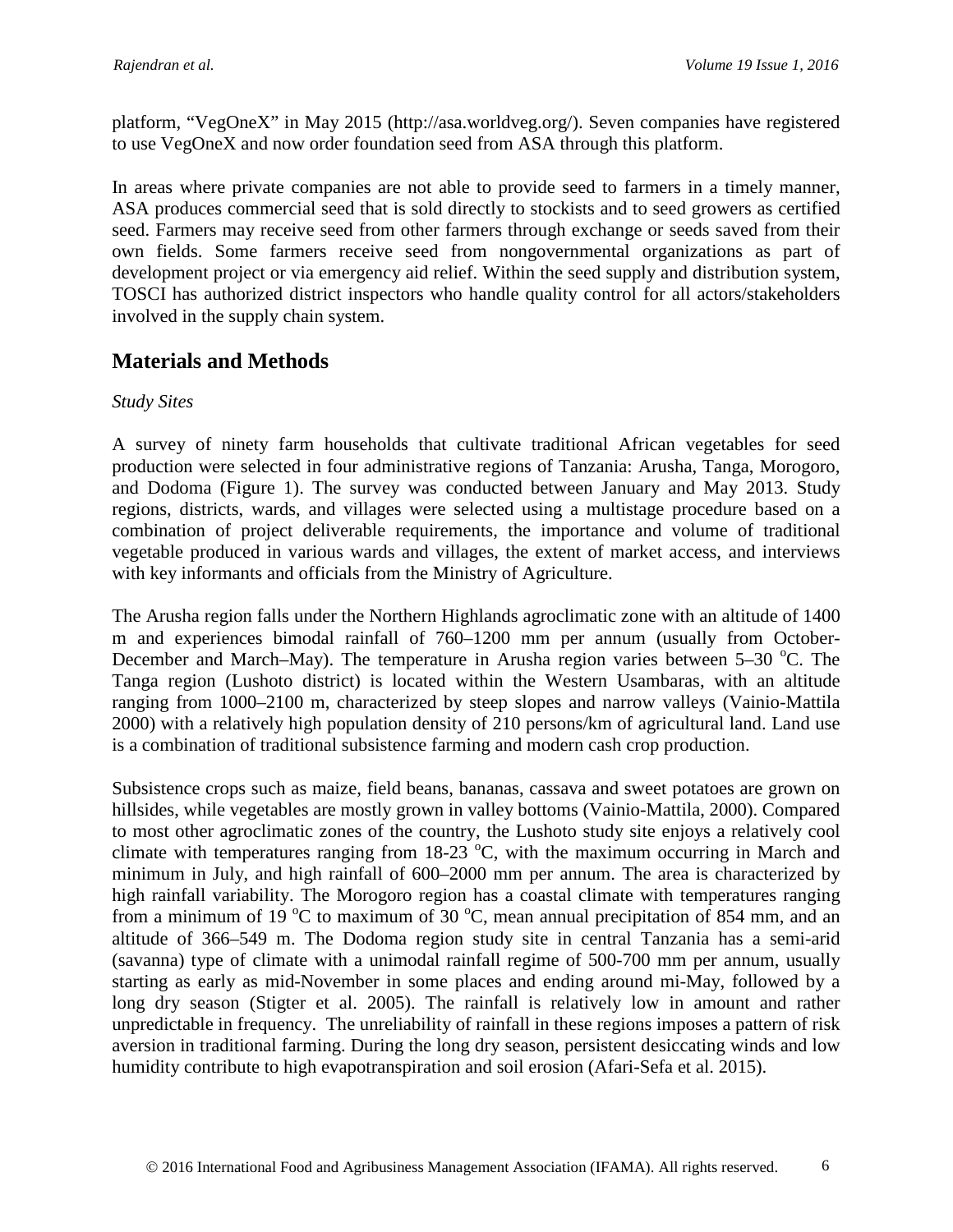platform, "VegOneX" in May 2015 (http://asa.worldveg.org/). Seven companies have registered to use VegOneX and now order foundation seed from ASA through this platform.

In areas where private companies are not able to provide seed to farmers in a timely manner, ASA produces commercial seed that is sold directly to stockists and to seed growers as certified seed. Farmers may receive seed from other farmers through exchange or seeds saved from their own fields. Some farmers receive seed from nongovernmental organizations as part of development project or via emergency aid relief. Within the seed supply and distribution system, TOSCI has authorized district inspectors who handle quality control for all actors/stakeholders involved in the supply chain system.

### **Materials and Methods**

#### *Study Sites*

A survey of ninety farm households that cultivate traditional African vegetables for seed production were selected in four administrative regions of Tanzania: Arusha, Tanga, Morogoro, and Dodoma (Figure 1). The survey was conducted between January and May 2013. Study regions, districts, wards, and villages were selected using a multistage procedure based on a combination of project deliverable requirements, the importance and volume of traditional vegetable produced in various wards and villages, the extent of market access, and interviews with key informants and officials from the Ministry of Agriculture.

The Arusha region falls under the Northern Highlands agroclimatic zone with an altitude of 1400 m and experiences bimodal rainfall of 760–1200 mm per annum (usually from October-December and March–May). The temperature in Arusha region varies between 5–30 °C. The Tanga region (Lushoto district) is located within the Western Usambaras, with an altitude ranging from 1000–2100 m, characterized by steep slopes and narrow valleys (Vainio-Mattila 2000) with a relatively high population density of 210 persons/km of agricultural land. Land use is a combination of traditional subsistence farming and modern cash crop production.

Subsistence crops such as maize, field beans, bananas, cassava and sweet potatoes are grown on hillsides, while vegetables are mostly grown in valley bottoms (Vainio-Mattila, 2000). Compared to most other agroclimatic zones of the country, the Lushoto study site enjoys a relatively cool climate with temperatures ranging from  $18-23$  °C, with the maximum occurring in March and minimum in July, and high rainfall of 600–2000 mm per annum. The area is characterized by high rainfall variability. The Morogoro region has a coastal climate with temperatures ranging from a minimum of 19  $\rm{^{\circ}C}$  to maximum of 30  $\rm{^{\circ}C}$ , mean annual precipitation of 854 mm, and an altitude of 366–549 m. The Dodoma region study site in central Tanzania has a semi-arid (savanna) type of climate with a unimodal rainfall regime of 500-700 mm per annum, usually starting as early as mid-November in some places and ending around mi-May, followed by a long dry season (Stigter et al. 2005). The rainfall is relatively low in amount and rather unpredictable in frequency. The unreliability of rainfall in these regions imposes a pattern of risk aversion in traditional farming. During the long dry season, persistent desiccating winds and low humidity contribute to high evapotranspiration and soil erosion (Afari-Sefa et al. 2015).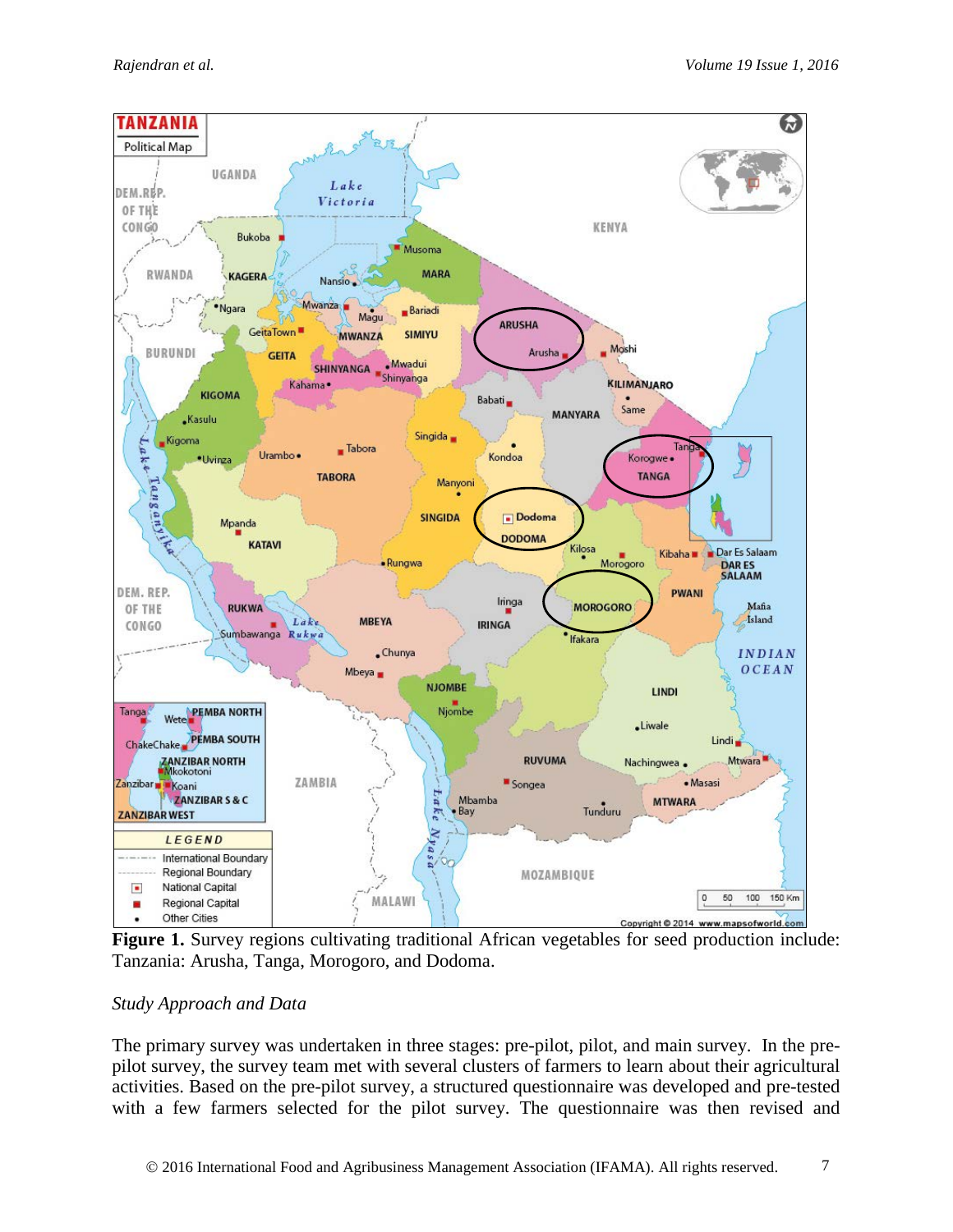

Figure 1. Survey regions cultivating traditional African vegetables for seed production include: Tanzania: Arusha, Tanga, Morogoro, and Dodoma.

### *Study Approach and Data*

The primary survey was undertaken in three stages: pre-pilot, pilot, and main survey. In the prepilot survey, the survey team met with several clusters of farmers to learn about their agricultural activities. Based on the pre-pilot survey, a structured questionnaire was developed and pre-tested with a few farmers selected for the pilot survey. The questionnaire was then revised and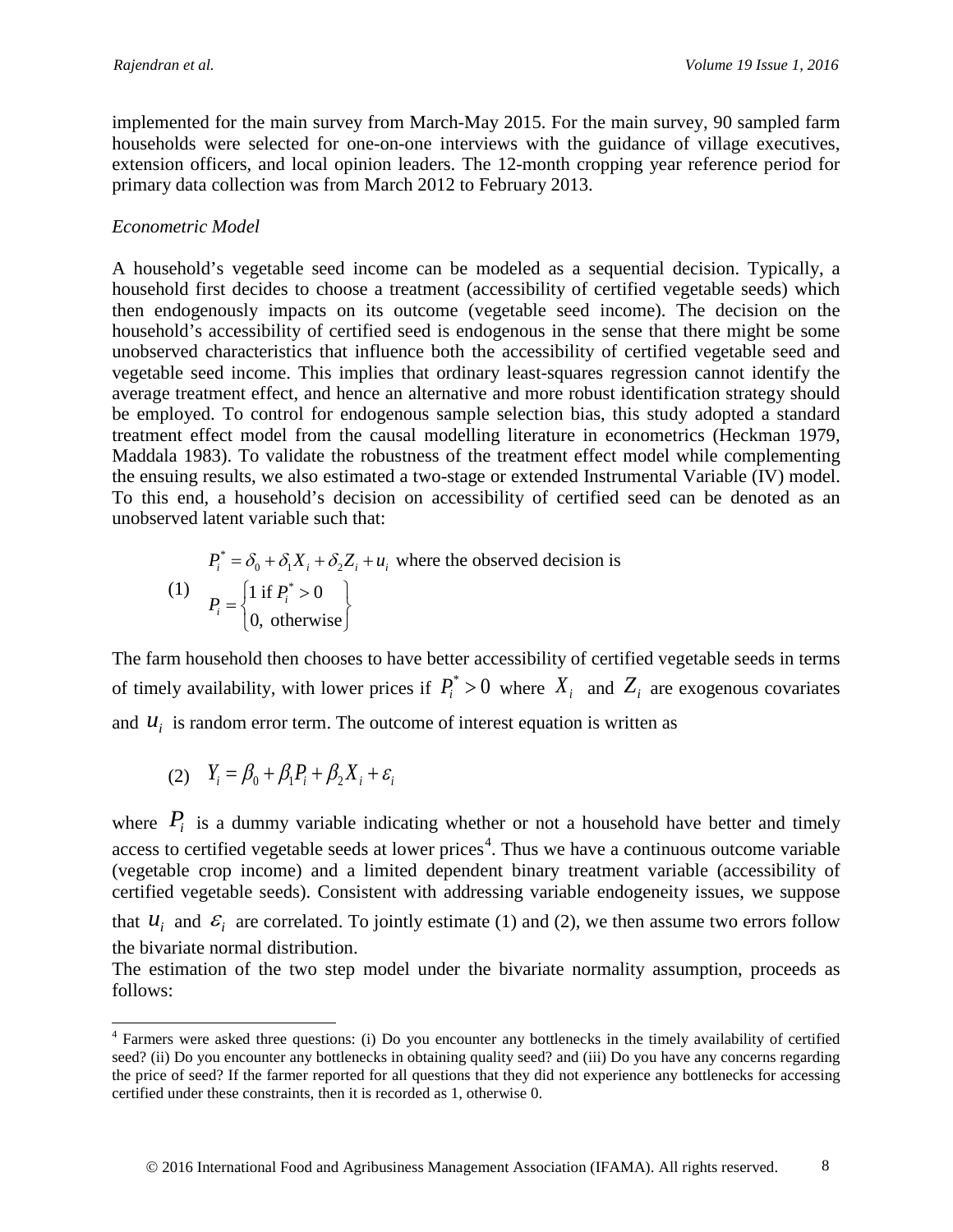implemented for the main survey from March-May 2015. For the main survey, 90 sampled farm households were selected for one-on-one interviews with the guidance of village executives, extension officers, and local opinion leaders. The 12-month cropping year reference period for primary data collection was from March 2012 to February 2013.

#### *Econometric Model*

A household's vegetable seed income can be modeled as a sequential decision. Typically, a household first decides to choose a treatment (accessibility of certified vegetable seeds) which then endogenously impacts on its outcome (vegetable seed income). The decision on the household's accessibility of certified seed is endogenous in the sense that there might be some unobserved characteristics that influence both the accessibility of certified vegetable seed and vegetable seed income. This implies that ordinary least-squares regression cannot identify the average treatment effect, and hence an alternative and more robust identification strategy should be employed. To control for endogenous sample selection bias, this study adopted a standard treatment effect model from the causal modelling literature in econometrics (Heckman 1979, Maddala 1983). To validate the robustness of the treatment effect model while complementing the ensuing results, we also estimated a two-stage or extended Instrumental Variable (IV) model. To this end, a household's decision on accessibility of certified seed can be denoted as an unobserved latent variable such that:

$$
P_i^* = \delta_0 + \delta_1 X_i + \delta_2 Z_i + u_i
$$
 where the observed decision is  
\n(1) 
$$
P_i = \begin{cases} 1 \text{ if } P_i^* > 0 \\ 0, \text{ otherwise} \end{cases}
$$

The farm household then chooses to have better accessibility of certified vegetable seeds in terms of timely availability, with lower prices if  $P_i^* > 0$  where  $X_i$  and  $Z_i$  are exogenous covariates and  $u_i$  is random error term. The outcome of interest equation is written as

$$
(2) \quad Y_i = \beta_0 + \beta_1 P_i + \beta_2 X_i + \varepsilon_i
$$

where  $P_i$  is a dummy variable indicating whether or not a household have better and timely access to certified vegetable seeds at lower prices<sup>[4](#page-7-0)</sup>. Thus we have a continuous outcome variable (vegetable crop income) and a limited dependent binary treatment variable (accessibility of certified vegetable seeds). Consistent with addressing variable endogeneity issues, we suppose that  $u_i$  and  $\varepsilon_i$  are correlated. To jointly estimate (1) and (2), we then assume two errors follow the bivariate normal distribution.

The estimation of the two step model under the bivariate normality assumption, proceeds as follows:

<span id="page-7-0"></span><sup>&</sup>lt;sup>4</sup> Farmers were asked three questions: (i) Do you encounter any bottlenecks in the timely availability of certified seed? (ii) Do you encounter any bottlenecks in obtaining quality seed? and (iii) Do you have any concerns regarding the price of seed? If the farmer reported for all questions that they did not experience any bottlenecks for accessing certified under these constraints, then it is recorded as 1, otherwise 0.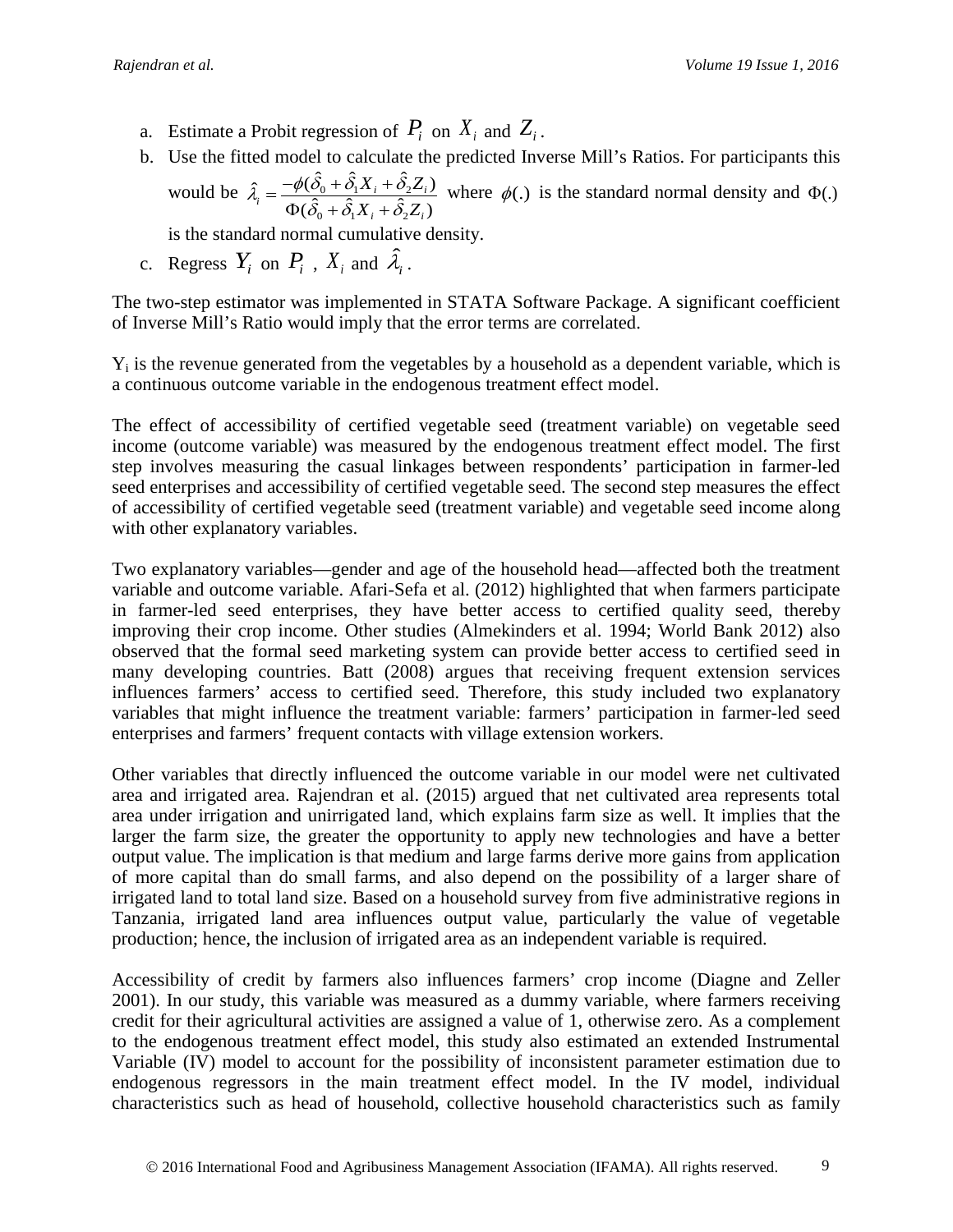- a. Estimate a Probit regression of  $P_i$  on  $X_i$  and  $Z_i$ .
- b. Use the fitted model to calculate the predicted Inverse Mill's Ratios. For participants this would be  $\hat{\lambda}_i = \frac{-\psi(\omega_0 + \omega_1 A_i + \omega_2)}{2}$  $\hat{\lambda}_i = \frac{-\phi(\hat{\delta}_0 + \hat{\delta}_1 X_i + \hat{\delta}_2 Z_i)}{\Phi(\hat{\delta}_0 + \hat{\delta}_1 X_i + \hat{\delta}_2 Z_i)}$  $\hat{i} = \frac{\varphi(\hat{o}_0 + \hat{o}_1 \hat{A}_i + \hat{o}_2 \hat{A}_i)}{\hat{\sigma}(\hat{\sigma} + \hat{\sigma} \hat{A}_i + \hat{\sigma} \hat{A}_i)}$  $i \cdot \boldsymbol{\nu}_2$  $\boldsymbol{\nu}_i$  $X_i + \hat{\delta}_2 Z$  $X_i + \hat{\delta}_2 Z$  $\hat{\lambda} = \frac{-\phi(\delta_0 + \delta_1 X_i + \delta_2)}{2}$  $=\frac{-\phi(\hat{\delta}_0 + \hat{\delta}_1 X_i + \hat{\delta}_2 Z_i)}{\Phi(\hat{\delta}_0 + \hat{\delta}_1 X_i + \hat{\delta}_2 Z_i)}$  where  $\phi(.)$  is the standard normal density and  $\Phi(.)$

is the standard normal cumulative density.

c. Regress  $Y_i$  on  $P_i$ ,  $X_i$  and  $\hat{\lambda}_i$ .

The two-step estimator was implemented in STATA Software Package. A significant coefficient of Inverse Mill's Ratio would imply that the error terms are correlated.

 $Y_i$  is the revenue generated from the vegetables by a household as a dependent variable, which is a continuous outcome variable in the endogenous treatment effect model.

The effect of accessibility of certified vegetable seed (treatment variable) on vegetable seed income (outcome variable) was measured by the endogenous treatment effect model. The first step involves measuring the casual linkages between respondents' participation in farmer-led seed enterprises and accessibility of certified vegetable seed. The second step measures the effect of accessibility of certified vegetable seed (treatment variable) and vegetable seed income along with other explanatory variables.

Two explanatory variables—gender and age of the household head—affected both the treatment variable and outcome variable. Afari-Sefa et al. (2012) highlighted that when farmers participate in farmer-led seed enterprises, they have better access to certified quality seed, thereby improving their crop income. Other studies (Almekinders et al. 1994; World Bank 2012) also observed that the formal seed marketing system can provide better access to certified seed in many developing countries. Batt (2008) argues that receiving frequent extension services influences farmers' access to certified seed. Therefore, this study included two explanatory variables that might influence the treatment variable: farmers' participation in farmer-led seed enterprises and farmers' frequent contacts with village extension workers.

Other variables that directly influenced the outcome variable in our model were net cultivated area and irrigated area. Rajendran et al. (2015) argued that net cultivated area represents total area under irrigation and unirrigated land, which explains farm size as well. It implies that the larger the farm size, the greater the opportunity to apply new technologies and have a better output value. The implication is that medium and large farms derive more gains from application of more capital than do small farms, and also depend on the possibility of a larger share of irrigated land to total land size. Based on a household survey from five administrative regions in Tanzania, irrigated land area influences output value, particularly the value of vegetable production; hence, the inclusion of irrigated area as an independent variable is required.

Accessibility of credit by farmers also influences farmers' crop income (Diagne and Zeller 2001). In our study, this variable was measured as a dummy variable, where farmers receiving credit for their agricultural activities are assigned a value of 1, otherwise zero. As a complement to the endogenous treatment effect model, this study also estimated an extended Instrumental Variable (IV) model to account for the possibility of inconsistent parameter estimation due to endogenous regressors in the main treatment effect model. In the IV model, individual characteristics such as head of household, collective household characteristics such as family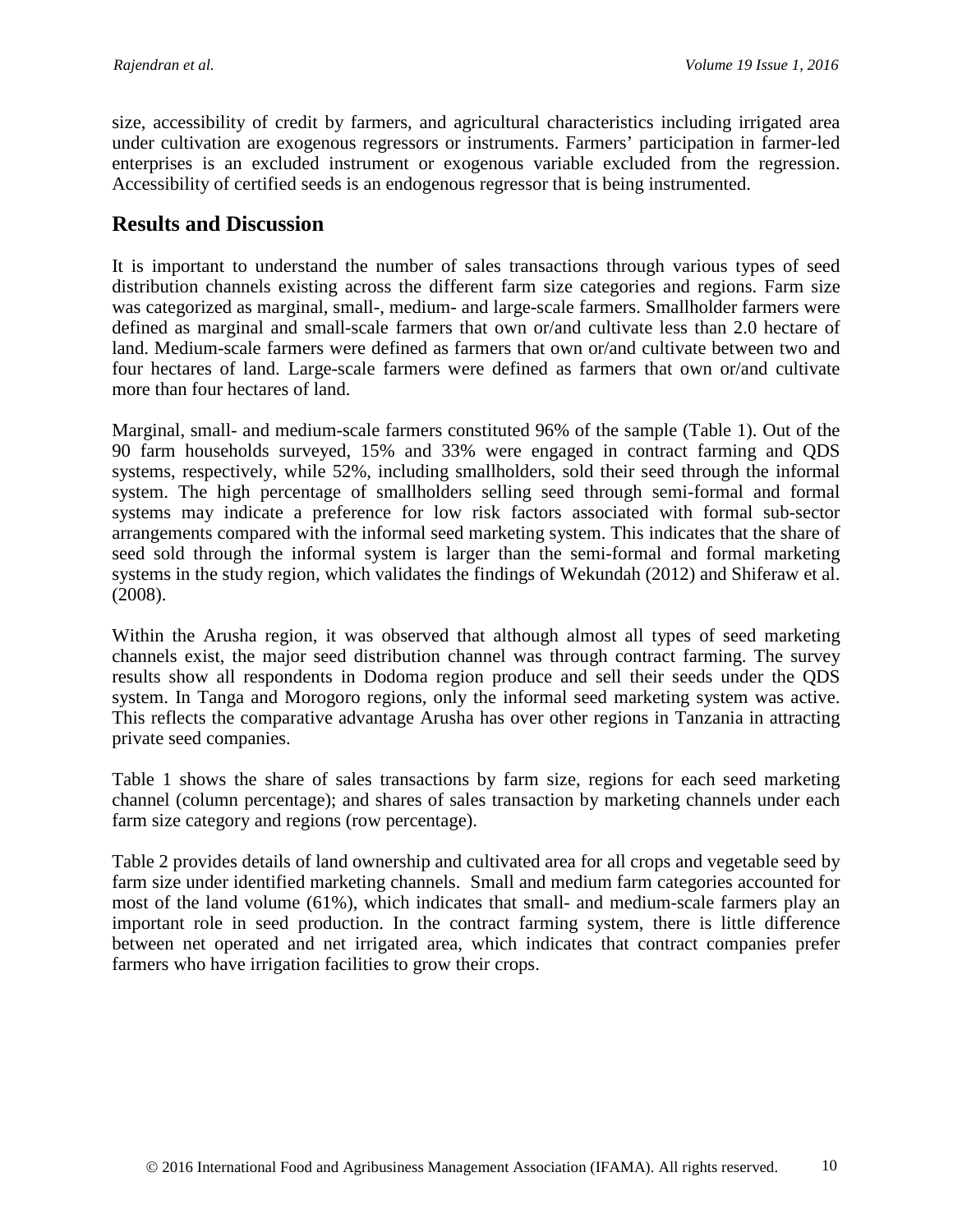size, accessibility of credit by farmers, and agricultural characteristics including irrigated area under cultivation are exogenous regressors or instruments. Farmers' participation in farmer-led enterprises is an excluded instrument or exogenous variable excluded from the regression. Accessibility of certified seeds is an endogenous regressor that is being instrumented.

### **Results and Discussion**

It is important to understand the number of sales transactions through various types of seed distribution channels existing across the different farm size categories and regions. Farm size was categorized as marginal, small-, medium- and large-scale farmers. Smallholder farmers were defined as marginal and small-scale farmers that own or/and cultivate less than 2.0 hectare of land. Medium-scale farmers were defined as farmers that own or/and cultivate between two and four hectares of land. Large-scale farmers were defined as farmers that own or/and cultivate more than four hectares of land.

Marginal, small- and medium-scale farmers constituted 96% of the sample (Table 1). Out of the 90 farm households surveyed, 15% and 33% were engaged in contract farming and QDS systems, respectively, while 52%, including smallholders, sold their seed through the informal system. The high percentage of smallholders selling seed through semi-formal and formal systems may indicate a preference for low risk factors associated with formal sub-sector arrangements compared with the informal seed marketing system. This indicates that the share of seed sold through the informal system is larger than the semi-formal and formal marketing systems in the study region, which validates the findings of Wekundah (2012) and Shiferaw et al. (2008).

Within the Arusha region, it was observed that although almost all types of seed marketing channels exist, the major seed distribution channel was through contract farming. The survey results show all respondents in Dodoma region produce and sell their seeds under the QDS system. In Tanga and Morogoro regions, only the informal seed marketing system was active. This reflects the comparative advantage Arusha has over other regions in Tanzania in attracting private seed companies.

Table 1 shows the share of sales transactions by farm size, regions for each seed marketing channel (column percentage); and shares of sales transaction by marketing channels under each farm size category and regions (row percentage).

Table 2 provides details of land ownership and cultivated area for all crops and vegetable seed by farm size under identified marketing channels. Small and medium farm categories accounted for most of the land volume (61%), which indicates that small- and medium-scale farmers play an important role in seed production. In the contract farming system, there is little difference between net operated and net irrigated area, which indicates that contract companies prefer farmers who have irrigation facilities to grow their crops.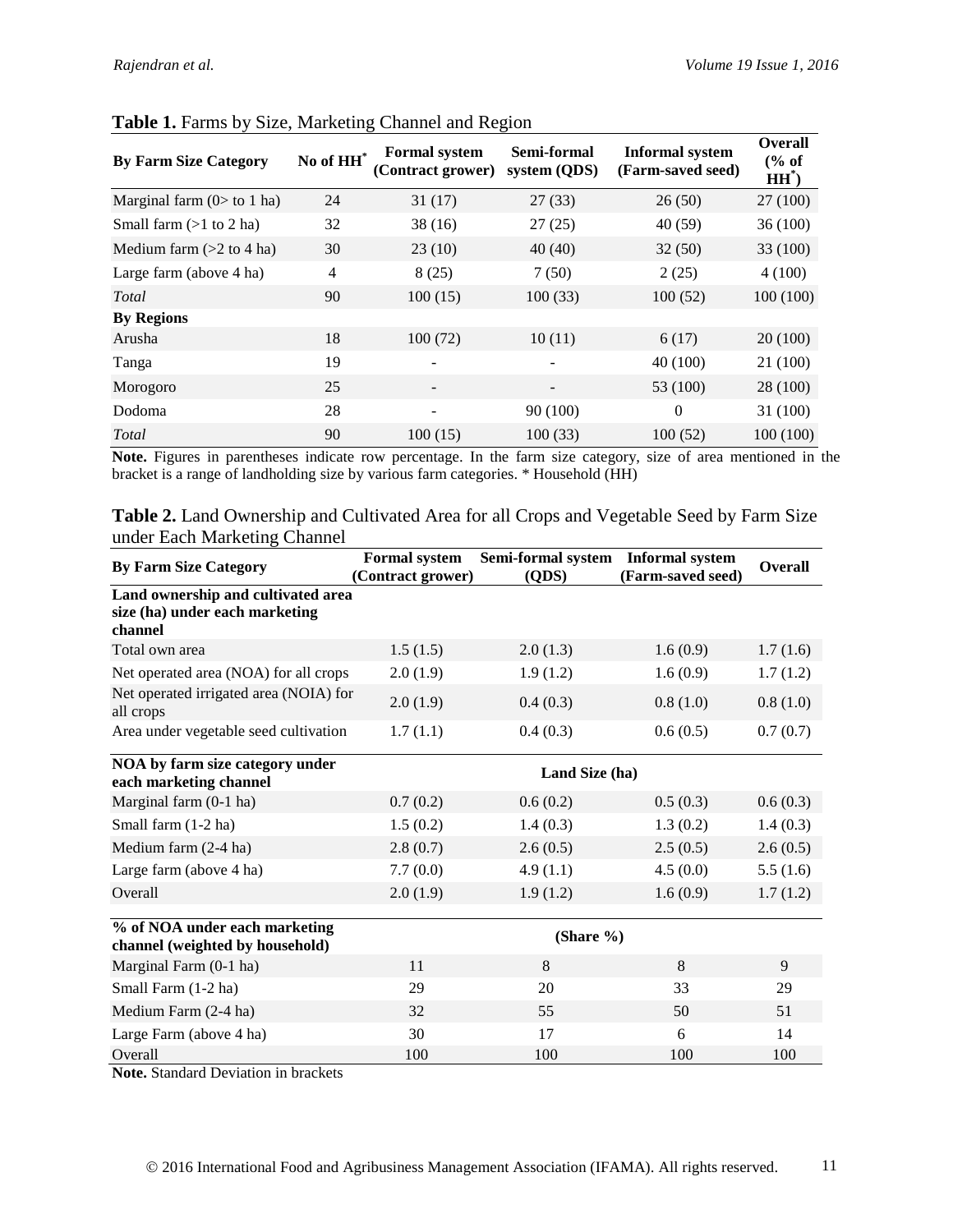| <b>By Farm Size Category</b> | No of HH       | <b>Formal system</b><br>(Contract grower) | Semi-formal<br>system (QDS) | <b>Informal system</b><br>(Farm-saved seed) | <b>Overall</b><br>% of<br>$HH^{\ast}$ |
|------------------------------|----------------|-------------------------------------------|-----------------------------|---------------------------------------------|---------------------------------------|
| Marginal farm $(0>$ to 1 ha) | 24             | 31(17)                                    | 27(33)                      | 26(50)                                      | 27 (100)                              |
| Small farm $(>1$ to 2 ha)    | 32             | 38(16)                                    | 27(25)                      | 40(59)                                      | 36 (100)                              |
| Medium farm $(>2$ to 4 ha)   | 30             | 23(10)                                    | 40(40)                      | 32(50)                                      | 33 (100)                              |
| Large farm (above 4 ha)      | $\overline{4}$ | 8(25)                                     | 7(50)                       | 2(25)                                       | 4(100)                                |
| Total                        | 90             | 100(15)                                   | 100(33)                     | 100(52)                                     | 100(100)                              |
| <b>By Regions</b>            |                |                                           |                             |                                             |                                       |
| Arusha                       | 18             | 100(72)                                   | 10(11)                      | 6(17)                                       | 20(100)                               |
| Tanga                        | 19             |                                           | $\qquad \qquad -$           | 40 (100)                                    | 21 (100)                              |
| Morogoro                     | 25             |                                           |                             | 53 (100)                                    | 28 (100)                              |
| Dodoma                       | 28             |                                           | 90(100)                     | $\theta$                                    | 31 (100)                              |
| Total                        | 90             | 100(15)                                   | 100(33)                     | 100(52)                                     | 100 (100)                             |

#### **Table 1.** Farms by Size, Marketing Channel and Region

**Note.** Figures in parentheses indicate row percentage. In the farm size category, size of area mentioned in the bracket is a range of landholding size by various farm categories. \* Household (HH)

| Table 2. Land Ownership and Cultivated Area for all Crops and Vegetable Seed by Farm Size |  |  |
|-------------------------------------------------------------------------------------------|--|--|
| under Each Marketing Channel                                                              |  |  |

| <b>By Farm Size Category</b>                                                    | <b>Formal system</b><br>(Contract grower) | Semi-formal system<br>(QDS) | <b>Informal system</b><br>(Farm-saved seed) | <b>Overall</b> |
|---------------------------------------------------------------------------------|-------------------------------------------|-----------------------------|---------------------------------------------|----------------|
| Land ownership and cultivated area<br>size (ha) under each marketing<br>channel |                                           |                             |                                             |                |
| Total own area                                                                  | 1.5(1.5)                                  | 2.0(1.3)                    | 1.6(0.9)                                    | 1.7(1.6)       |
| Net operated area (NOA) for all crops                                           | 2.0(1.9)                                  | 1.9(1.2)                    | 1.6(0.9)                                    | 1.7(1.2)       |
| Net operated irrigated area (NOIA) for<br>all crops                             | 2.0(1.9)                                  | 0.4(0.3)                    | 0.8(1.0)                                    | 0.8(1.0)       |
| Area under vegetable seed cultivation                                           | 1.7(1.1)                                  | 0.4(0.3)                    | 0.6(0.5)                                    | 0.7(0.7)       |
| NOA by farm size category under<br>each marketing channel                       |                                           | Land Size (ha)              |                                             |                |
| Marginal farm (0-1 ha)                                                          | 0.7(0.2)                                  | 0.6(0.2)                    | 0.5(0.3)                                    | 0.6(0.3)       |
| Small farm (1-2 ha)                                                             | 1.5(0.2)                                  | 1.4(0.3)                    | 1.3(0.2)                                    | 1.4(0.3)       |
| Medium farm (2-4 ha)                                                            | 2.8(0.7)                                  | 2.6(0.5)                    | 2.5(0.5)                                    | 2.6(0.5)       |
| Large farm (above 4 ha)                                                         | 7.7(0.0)                                  | 4.9(1.1)                    | 4.5(0.0)                                    | 5.5(1.6)       |
| Overall                                                                         | 2.0(1.9)                                  | 1.9(1.2)                    | 1.6(0.9)                                    | 1.7(1.2)       |
| % of NOA under each marketing<br>channel (weighted by household)                |                                           | (Share %)                   |                                             |                |
| Marginal Farm (0-1 ha)                                                          | 11                                        | 8                           | 8                                           | 9              |
| Small Farm (1-2 ha)                                                             | 29                                        | 20                          | 33                                          | 29             |
| Medium Farm (2-4 ha)                                                            | 32                                        | 55                          | 50                                          | 51             |
| Large Farm (above 4 ha)                                                         | 30                                        | 17                          | 6                                           | 14             |
| Overall                                                                         | 100                                       | 100                         | 100                                         | 100            |

**Note.** Standard Deviation in brackets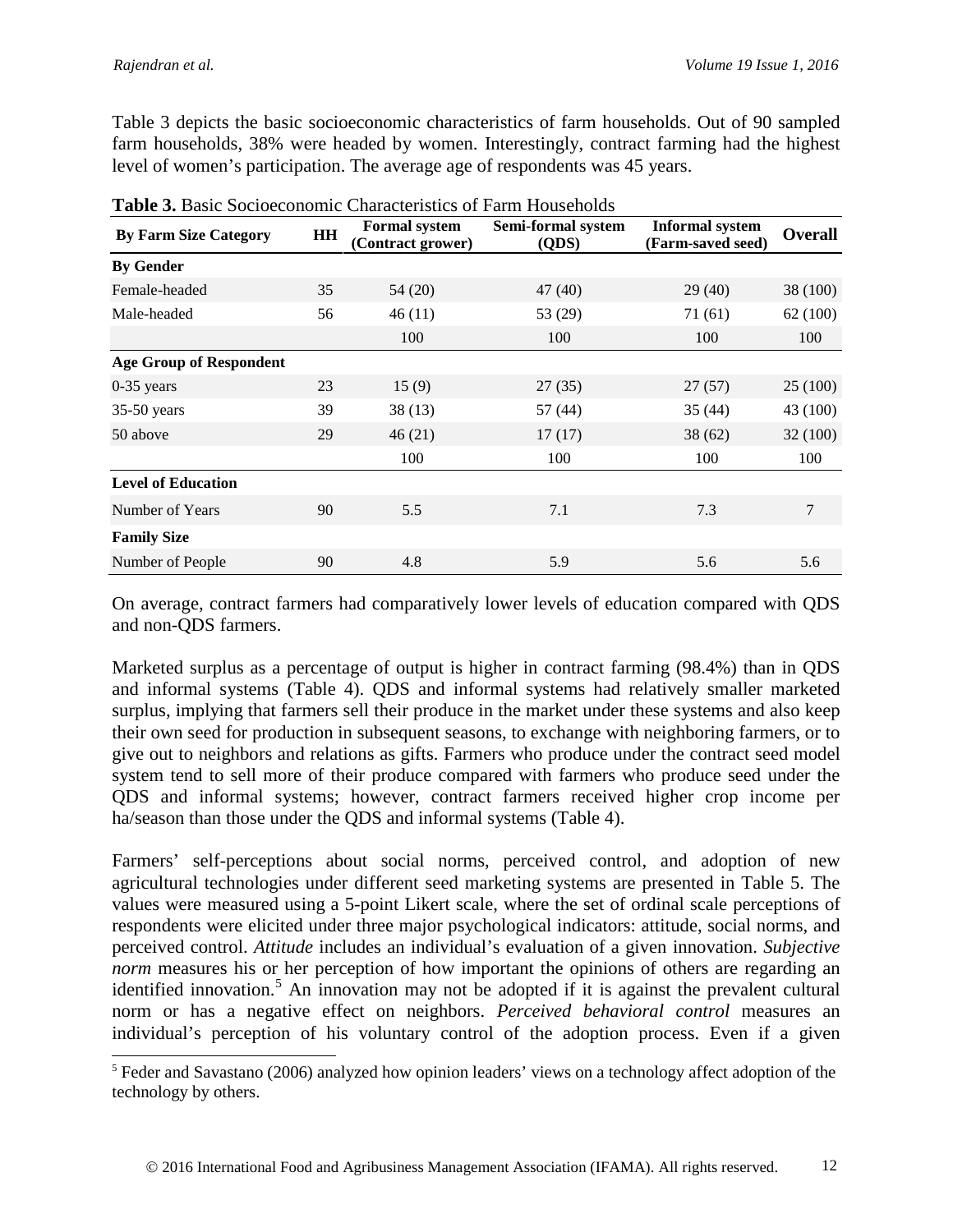Table 3 depicts the basic socioeconomic characteristics of farm households. Out of 90 sampled farm households, 38% were headed by women. Interestingly, contract farming had the highest level of women's participation. The average age of respondents was 45 years.

| <b>Table 5: Dasit Boclocconomic Characteristics of Family Households</b> |                                                 |         |                             |                                             |                |
|--------------------------------------------------------------------------|-------------------------------------------------|---------|-----------------------------|---------------------------------------------|----------------|
| <b>By Farm Size Category</b>                                             | <b>Formal system</b><br>HH<br>(Contract grower) |         | Semi-formal system<br>(QDS) | <b>Informal system</b><br>(Farm-saved seed) | <b>Overall</b> |
| <b>By Gender</b>                                                         |                                                 |         |                             |                                             |                |
| Female-headed                                                            | 35                                              | 54 (20) | 47 (40)                     | 29(40)                                      | 38 (100)       |
| Male-headed                                                              | 56                                              | 46(11)  | 53 (29)                     | 71(61)                                      | 62(100)        |
|                                                                          |                                                 | 100     | 100                         | 100                                         | 100            |
| <b>Age Group of Respondent</b>                                           |                                                 |         |                             |                                             |                |
| $0-35$ years                                                             | 23                                              | 15(9)   | 27(35)                      | 27(57)                                      | 25 (100)       |
| $35-50$ years                                                            | 39                                              | 38(13)  | 57 (44)                     | 35(44)                                      | 43 (100)       |
| 50 above                                                                 | 29                                              | 46(21)  | 17(17)                      | 38(62)                                      | 32(100)        |
|                                                                          |                                                 | 100     | 100                         | 100                                         | 100            |
| <b>Level of Education</b>                                                |                                                 |         |                             |                                             |                |
| Number of Years                                                          | 90                                              | 5.5     | 7.1                         | 7.3                                         | 7              |
| <b>Family Size</b>                                                       |                                                 |         |                             |                                             |                |
| Number of People                                                         | 90                                              | 4.8     | 5.9                         | 5.6                                         | 5.6            |

**Table 3.** Basic Socioeconomic Characteristics of Farm Households

On average, contract farmers had comparatively lower levels of education compared with QDS and non-QDS farmers.

Marketed surplus as a percentage of output is higher in contract farming (98.4%) than in QDS and informal systems (Table 4). QDS and informal systems had relatively smaller marketed surplus, implying that farmers sell their produce in the market under these systems and also keep their own seed for production in subsequent seasons, to exchange with neighboring farmers, or to give out to neighbors and relations as gifts. Farmers who produce under the contract seed model system tend to sell more of their produce compared with farmers who produce seed under the QDS and informal systems; however, contract farmers received higher crop income per ha/season than those under the QDS and informal systems (Table 4).

Farmers' self-perceptions about social norms, perceived control, and adoption of new agricultural technologies under different seed marketing systems are presented in Table 5. The values were measured using a 5-point Likert scale, where the set of ordinal scale perceptions of respondents were elicited under three major psychological indicators: attitude, social norms, and perceived control. *Attitude* includes an individual's evaluation of a given innovation. *Subjective norm* measures his or her perception of how important the opinions of others are regarding an identified innovation.<sup>[5](#page-11-0)</sup> An innovation may not be adopted if it is against the prevalent cultural norm or has a negative effect on neighbors. *Perceived behavioral control* measures an individual's perception of his voluntary control of the adoption process. Even if a given

<span id="page-11-0"></span><sup>&</sup>lt;sup>5</sup> Feder and Savastano (2006) analyzed how opinion leaders' views on a technology affect adoption of the technology by others.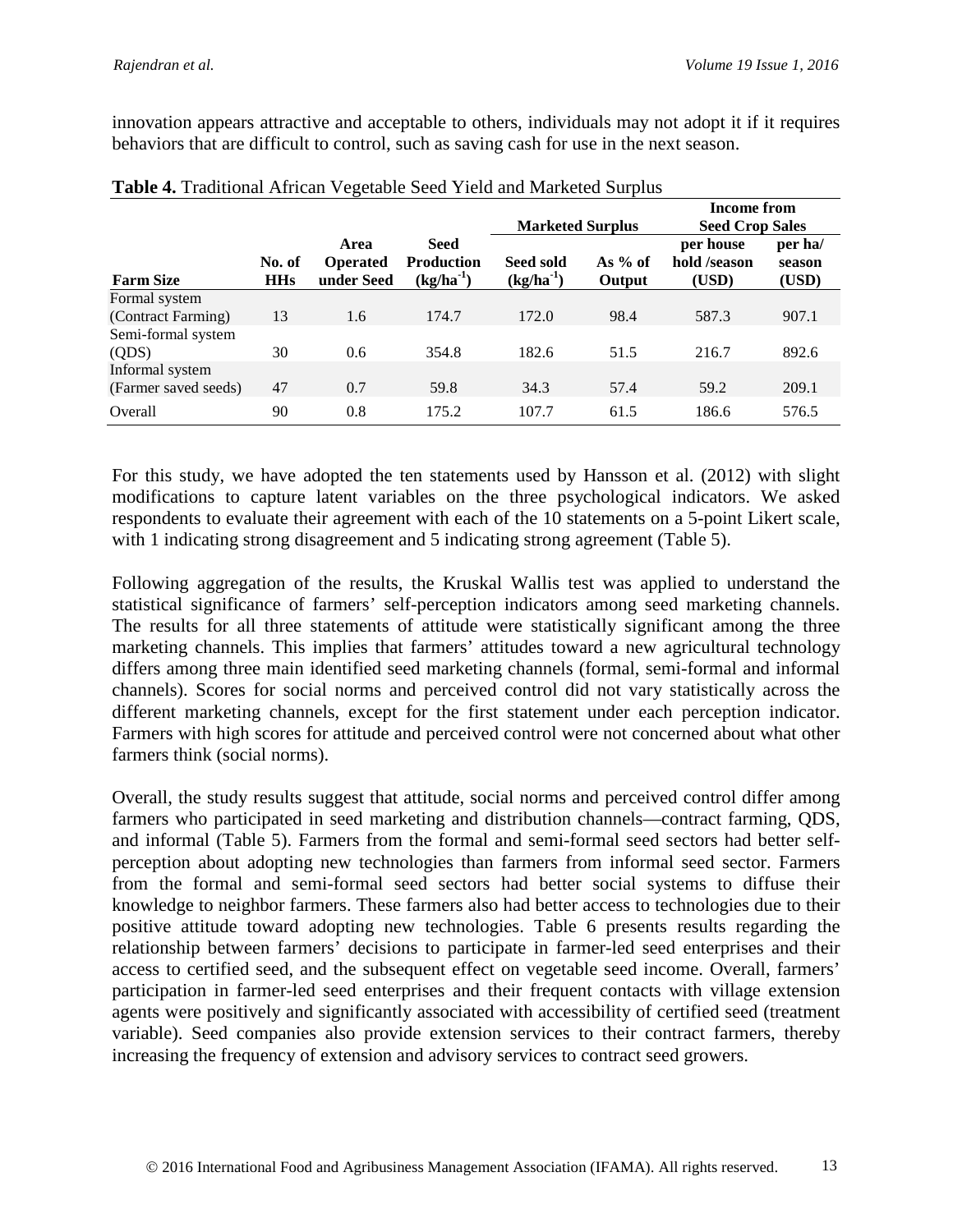innovation appears attractive and acceptable to others, individuals may not adopt it if it requires behaviors that are difficult to control, such as saving cash for use in the next season.

|                             |                      |                                       |                                                 |                                    |                     | <b>Income from</b>                 |                            |
|-----------------------------|----------------------|---------------------------------------|-------------------------------------------------|------------------------------------|---------------------|------------------------------------|----------------------------|
|                             |                      |                                       |                                                 | <b>Marketed Surplus</b>            |                     | <b>Seed Crop Sales</b>             |                            |
| <b>Farm Size</b>            | No. of<br><b>HHs</b> | Area<br><b>Operated</b><br>under Seed | <b>Seed</b><br><b>Production</b><br>$(kg/ha^1)$ | <b>Seed sold</b><br>$(kg/ha^{-1})$ | As $%$ of<br>Output | per house<br>hold /season<br>(USD) | per ha/<br>season<br>(USD) |
| Formal system               |                      |                                       |                                                 |                                    |                     |                                    |                            |
| (Contract Farming)          | 13                   | 1.6                                   | 174.7                                           | 172.0                              | 98.4                | 587.3                              | 907.1                      |
| Semi-formal system<br>(QDS) | 30                   | 0.6                                   | 354.8                                           | 182.6                              | 51.5                | 216.7                              | 892.6                      |
| Informal system             |                      |                                       |                                                 |                                    |                     |                                    |                            |
| (Farmer saved seeds)        | 47                   | 0.7                                   | 59.8                                            | 34.3                               | 57.4                | 59.2                               | 209.1                      |
| Overall                     | 90                   | 0.8                                   | 175.2                                           | 107.7                              | 61.5                | 186.6                              | 576.5                      |

| Table 4. Traditional African Vegetable Seed Yield and Marketed Surplus |
|------------------------------------------------------------------------|
|------------------------------------------------------------------------|

For this study, we have adopted the ten statements used by Hansson et al. (2012) with slight modifications to capture latent variables on the three psychological indicators. We asked respondents to evaluate their agreement with each of the 10 statements on a 5-point Likert scale, with 1 indicating strong disagreement and 5 indicating strong agreement (Table 5).

Following aggregation of the results, the Kruskal Wallis test was applied to understand the statistical significance of farmers' self-perception indicators among seed marketing channels. The results for all three statements of attitude were statistically significant among the three marketing channels. This implies that farmers' attitudes toward a new agricultural technology differs among three main identified seed marketing channels (formal, semi-formal and informal channels). Scores for social norms and perceived control did not vary statistically across the different marketing channels, except for the first statement under each perception indicator. Farmers with high scores for attitude and perceived control were not concerned about what other farmers think (social norms).

Overall, the study results suggest that attitude, social norms and perceived control differ among farmers who participated in seed marketing and distribution channels—contract farming, QDS, and informal (Table 5). Farmers from the formal and semi-formal seed sectors had better selfperception about adopting new technologies than farmers from informal seed sector. Farmers from the formal and semi-formal seed sectors had better social systems to diffuse their knowledge to neighbor farmers. These farmers also had better access to technologies due to their positive attitude toward adopting new technologies. Table 6 presents results regarding the relationship between farmers' decisions to participate in farmer-led seed enterprises and their access to certified seed, and the subsequent effect on vegetable seed income. Overall, farmers' participation in farmer-led seed enterprises and their frequent contacts with village extension agents were positively and significantly associated with accessibility of certified seed (treatment variable). Seed companies also provide extension services to their contract farmers, thereby increasing the frequency of extension and advisory services to contract seed growers.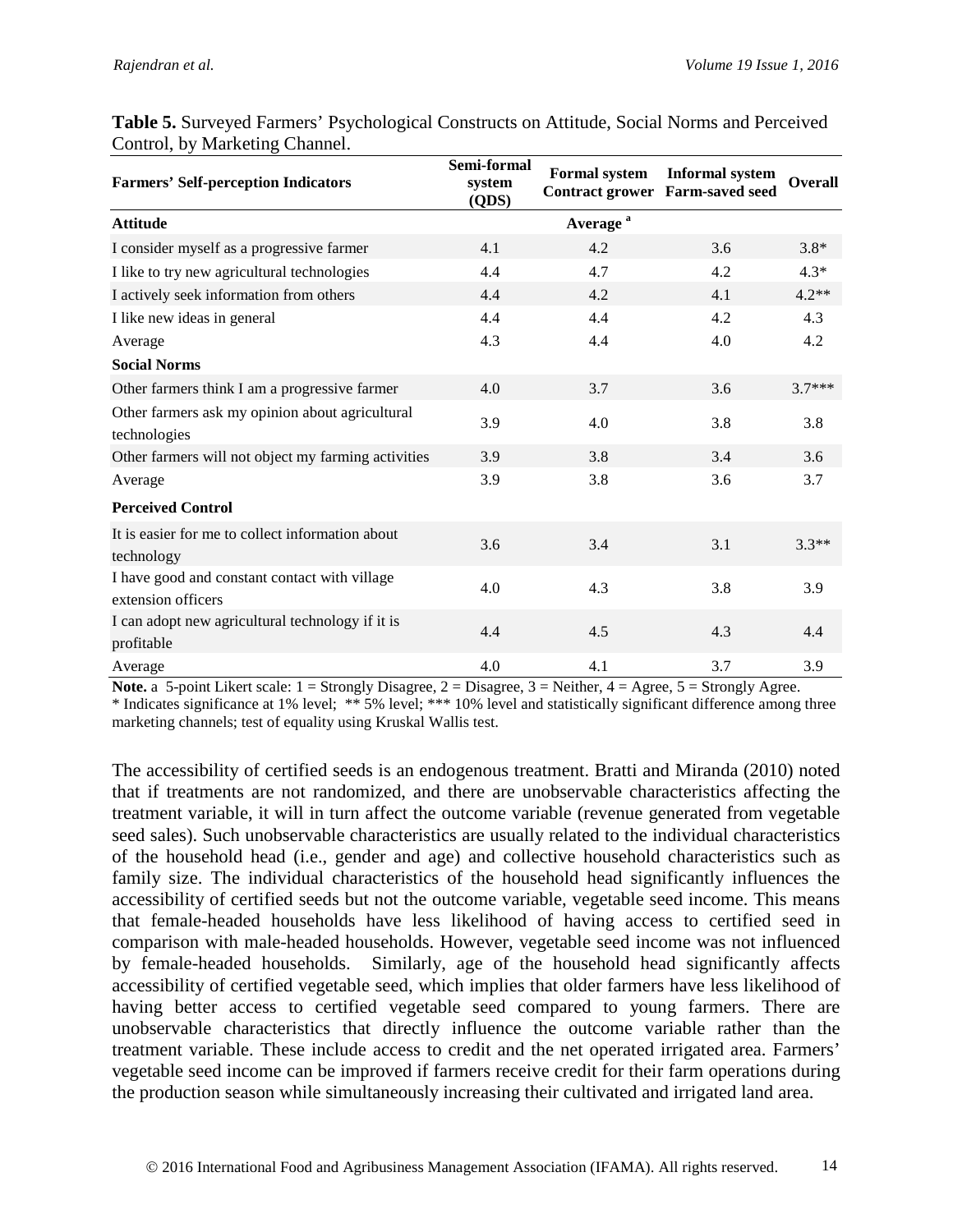| <b>Farmers' Self-perception Indicators</b>                          | Semi-formal<br>system<br>(QDS) | <b>Formal system</b> | <b>Informal system</b><br><b>Contract grower Farm-saved seed</b> | <b>Overall</b> |
|---------------------------------------------------------------------|--------------------------------|----------------------|------------------------------------------------------------------|----------------|
| <b>Attitude</b>                                                     |                                | Average <sup>a</sup> |                                                                  |                |
| I consider myself as a progressive farmer                           | 4.1                            | 4.2                  | 3.6                                                              | $3.8*$         |
| I like to try new agricultural technologies                         | 4.4                            | 4.7                  | 4.2                                                              | $4.3*$         |
| I actively seek information from others                             | 4.4                            | 4.2                  | 4.1                                                              | $4.2**$        |
| I like new ideas in general                                         | 4.4                            | 4.4                  | 4.2                                                              | 4.3            |
| Average                                                             | 4.3                            | 4.4                  | 4.0                                                              | 4.2            |
| <b>Social Norms</b>                                                 |                                |                      |                                                                  |                |
| Other farmers think I am a progressive farmer                       | 4.0                            | 3.7                  | 3.6                                                              | $3.7***$       |
| Other farmers ask my opinion about agricultural<br>technologies     | 3.9                            | 4.0                  | 3.8                                                              | 3.8            |
| Other farmers will not object my farming activities                 | 3.9                            | 3.8                  | 3.4                                                              | 3.6            |
| Average                                                             | 3.9                            | 3.8                  | 3.6                                                              | 3.7            |
| <b>Perceived Control</b>                                            |                                |                      |                                                                  |                |
| It is easier for me to collect information about<br>technology      | 3.6                            | 3.4                  | 3.1                                                              | $3.3**$        |
| I have good and constant contact with village<br>extension officers | 4.0                            | 4.3                  | 3.8                                                              | 3.9            |
| I can adopt new agricultural technology if it is<br>profitable      | 4.4                            | 4.5                  | 4.3                                                              | 4.4            |
| Average                                                             | 4.0                            | 4.1                  | 3.7                                                              | 3.9            |

**Table 5.** Surveyed Farmers' Psychological Constructs on Attitude, Social Norms and Perceived Control, by Marketing Channel.

**Note.** a 5-point Likert scale:  $1 =$  Strongly Disagree,  $2 =$  Disagree,  $3 =$  Neither,  $4 =$  Agree,  $5 =$  Strongly Agree.

\* Indicates significance at 1% level; \*\* 5% level; \*\*\* 10% level and statistically significant difference among three marketing channels; test of equality using Kruskal Wallis test.

The accessibility of certified seeds is an endogenous treatment. Bratti and Miranda (2010) noted that if treatments are not randomized, and there are unobservable characteristics affecting the treatment variable, it will in turn affect the outcome variable (revenue generated from vegetable seed sales). Such unobservable characteristics are usually related to the individual characteristics of the household head (i.e., gender and age) and collective household characteristics such as family size. The individual characteristics of the household head significantly influences the accessibility of certified seeds but not the outcome variable, vegetable seed income. This means that female-headed households have less likelihood of having access to certified seed in comparison with male-headed households. However, vegetable seed income was not influenced by female-headed households. Similarly, age of the household head significantly affects accessibility of certified vegetable seed, which implies that older farmers have less likelihood of having better access to certified vegetable seed compared to young farmers. There are unobservable characteristics that directly influence the outcome variable rather than the treatment variable. These include access to credit and the net operated irrigated area. Farmers' vegetable seed income can be improved if farmers receive credit for their farm operations during the production season while simultaneously increasing their cultivated and irrigated land area.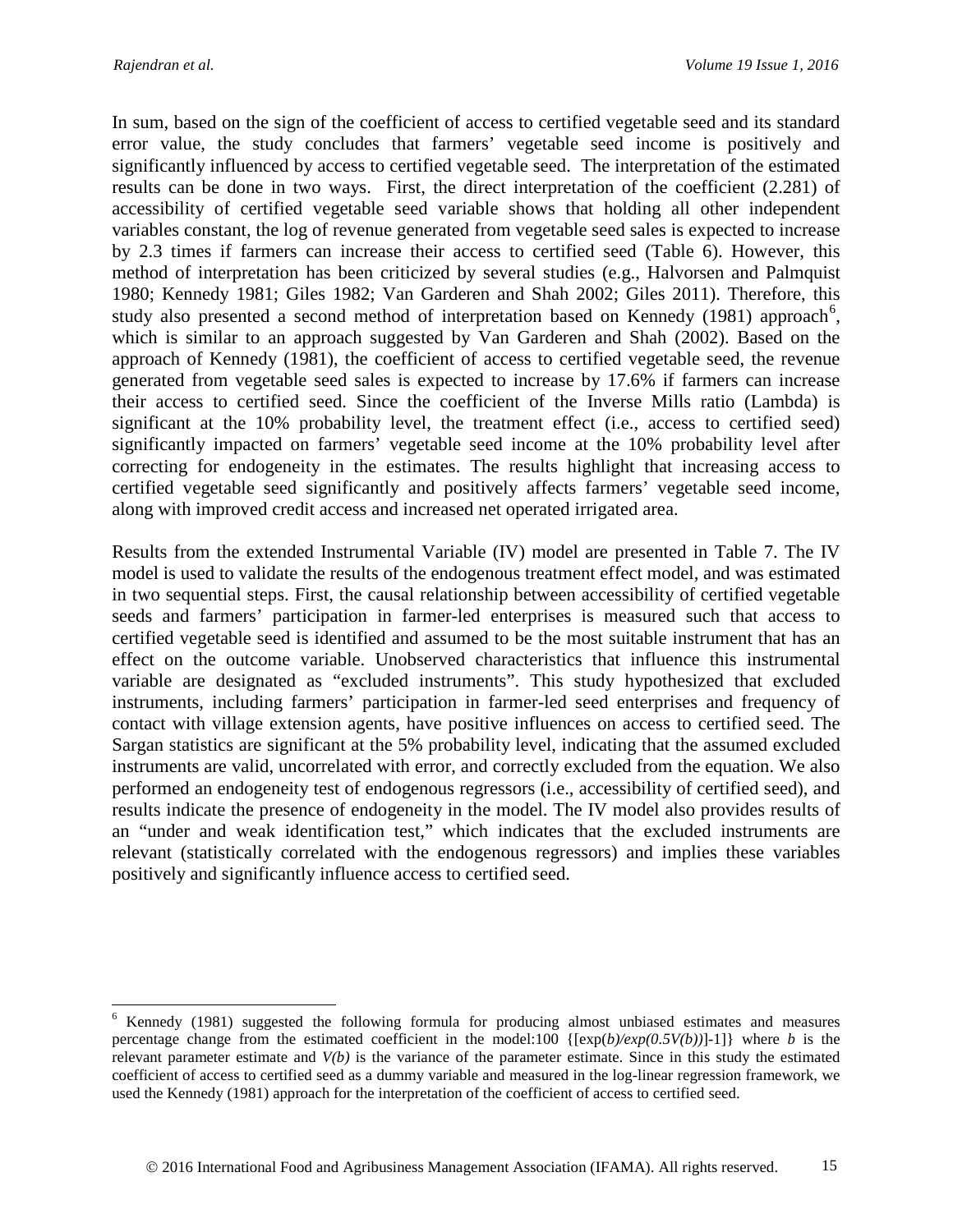In sum, based on the sign of the coefficient of access to certified vegetable seed and its standard error value, the study concludes that farmers' vegetable seed income is positively and significantly influenced by access to certified vegetable seed. The interpretation of the estimated results can be done in two ways. First, the direct interpretation of the coefficient (2.281) of accessibility of certified vegetable seed variable shows that holding all other independent variables constant, the log of revenue generated from vegetable seed sales is expected to increase by 2.3 times if farmers can increase their access to certified seed (Table 6). However, this method of interpretation has been criticized by several studies (e.g., Halvorsen and Palmquist 1980; Kennedy 1981; Giles 1982; Van Garderen and Shah 2002; Giles 2011). Therefore, this study also presented a second method of interpretation based on Kennedy (1981) approach<sup>[6](#page-14-0)</sup>, which is similar to an approach suggested by Van Garderen and Shah (2002). Based on the approach of Kennedy (1981), the coefficient of access to certified vegetable seed, the revenue generated from vegetable seed sales is expected to increase by 17.6% if farmers can increase their access to certified seed. Since the coefficient of the Inverse Mills ratio (Lambda) is significant at the 10% probability level, the treatment effect (i.e., access to certified seed) significantly impacted on farmers' vegetable seed income at the 10% probability level after correcting for endogeneity in the estimates. The results highlight that increasing access to certified vegetable seed significantly and positively affects farmers' vegetable seed income, along with improved credit access and increased net operated irrigated area.

Results from the extended Instrumental Variable (IV) model are presented in Table 7. The IV model is used to validate the results of the endogenous treatment effect model, and was estimated in two sequential steps. First, the causal relationship between accessibility of certified vegetable seeds and farmers' participation in farmer-led enterprises is measured such that access to certified vegetable seed is identified and assumed to be the most suitable instrument that has an effect on the outcome variable. Unobserved characteristics that influence this instrumental variable are designated as "excluded instruments". This study hypothesized that excluded instruments, including farmers' participation in farmer-led seed enterprises and frequency of contact with village extension agents, have positive influences on access to certified seed. The Sargan statistics are significant at the 5% probability level, indicating that the assumed excluded instruments are valid, uncorrelated with error, and correctly excluded from the equation. We also performed an endogeneity test of endogenous regressors (i.e., accessibility of certified seed), and results indicate the presence of endogeneity in the model. The IV model also provides results of an "under and weak identification test," which indicates that the excluded instruments are relevant (statistically correlated with the endogenous regressors) and implies these variables positively and significantly influence access to certified seed.

<span id="page-14-0"></span> <sup>6</sup> Kennedy (1981) suggested the following formula for producing almost unbiased estimates and measures percentage change from the estimated coefficient in the model:100 {[exp(*b)/exp(0.5V(b))*]-1]} where *b* is the relevant parameter estimate and *V(b)* is the variance of the parameter estimate. Since in this study the estimated coefficient of access to certified seed as a dummy variable and measured in the log-linear regression framework, we used the Kennedy (1981) approach for the interpretation of the coefficient of access to certified seed.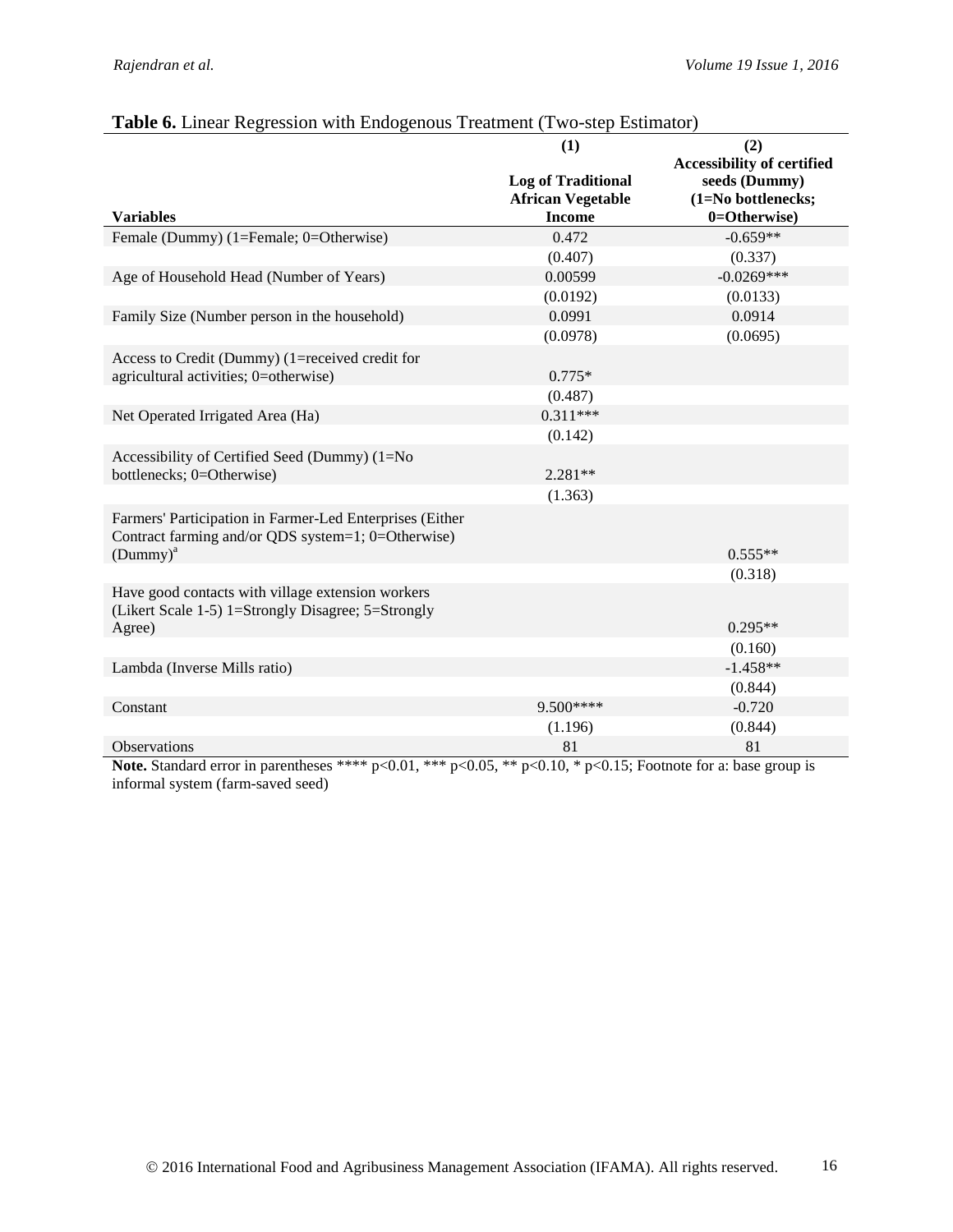| which is extended to the contract of $\alpha$ in the contract $\alpha$ is the contracted to $\alpha$                                   | (1)                                                                    | (2)                                                                                      |
|----------------------------------------------------------------------------------------------------------------------------------------|------------------------------------------------------------------------|------------------------------------------------------------------------------------------|
| <b>Variables</b>                                                                                                                       | <b>Log of Traditional</b><br><b>African Vegetable</b><br><b>Income</b> | <b>Accessibility of certified</b><br>seeds (Dummy)<br>(1=No bottlenecks;<br>0=Otherwise) |
| Female (Dummy) (1=Female; 0=Otherwise)                                                                                                 | 0.472                                                                  | $-0.659**$                                                                               |
|                                                                                                                                        | (0.407)                                                                | (0.337)                                                                                  |
| Age of Household Head (Number of Years)                                                                                                | 0.00599                                                                | $-0.0269***$                                                                             |
|                                                                                                                                        | (0.0192)                                                               | (0.0133)                                                                                 |
| Family Size (Number person in the household)                                                                                           | 0.0991                                                                 | 0.0914                                                                                   |
|                                                                                                                                        | (0.0978)                                                               | (0.0695)                                                                                 |
| Access to Credit (Dummy) (1=received credit for<br>agricultural activities; 0=otherwise)                                               | $0.775*$                                                               |                                                                                          |
|                                                                                                                                        | (0.487)                                                                |                                                                                          |
| Net Operated Irrigated Area (Ha)                                                                                                       | $0.311***$                                                             |                                                                                          |
|                                                                                                                                        | (0.142)                                                                |                                                                                          |
| Accessibility of Certified Seed (Dummy) (1=No<br>bottlenecks; 0=Otherwise)                                                             | $2.281**$                                                              |                                                                                          |
|                                                                                                                                        | (1.363)                                                                |                                                                                          |
| Farmers' Participation in Farmer-Led Enterprises (Either<br>Contract farming and/or QDS system=1; 0=Otherwise)<br>(Dummy) <sup>a</sup> |                                                                        | $0.555**$<br>(0.318)                                                                     |
| Have good contacts with village extension workers<br>(Likert Scale 1-5) 1=Strongly Disagree; 5=Strongly                                |                                                                        |                                                                                          |
| Agree)                                                                                                                                 |                                                                        | $0.295**$                                                                                |
|                                                                                                                                        |                                                                        | (0.160)                                                                                  |
| Lambda (Inverse Mills ratio)                                                                                                           |                                                                        | $-1.458**$                                                                               |
|                                                                                                                                        |                                                                        | (0.844)                                                                                  |
| Constant                                                                                                                               | 9.500****                                                              | $-0.720$                                                                                 |
|                                                                                                                                        | (1.196)                                                                | (0.844)                                                                                  |
| Observations                                                                                                                           | 81                                                                     | 81                                                                                       |

#### **Table 6.** Linear Regression with Endogenous Treatment (Two-step Estimator)

**Note.** Standard error in parentheses \*\*\*\* p<0.01, \*\*\* p<0.05, \*\* p<0.10, \* p<0.15; Footnote for a: base group is informal system (farm-saved seed)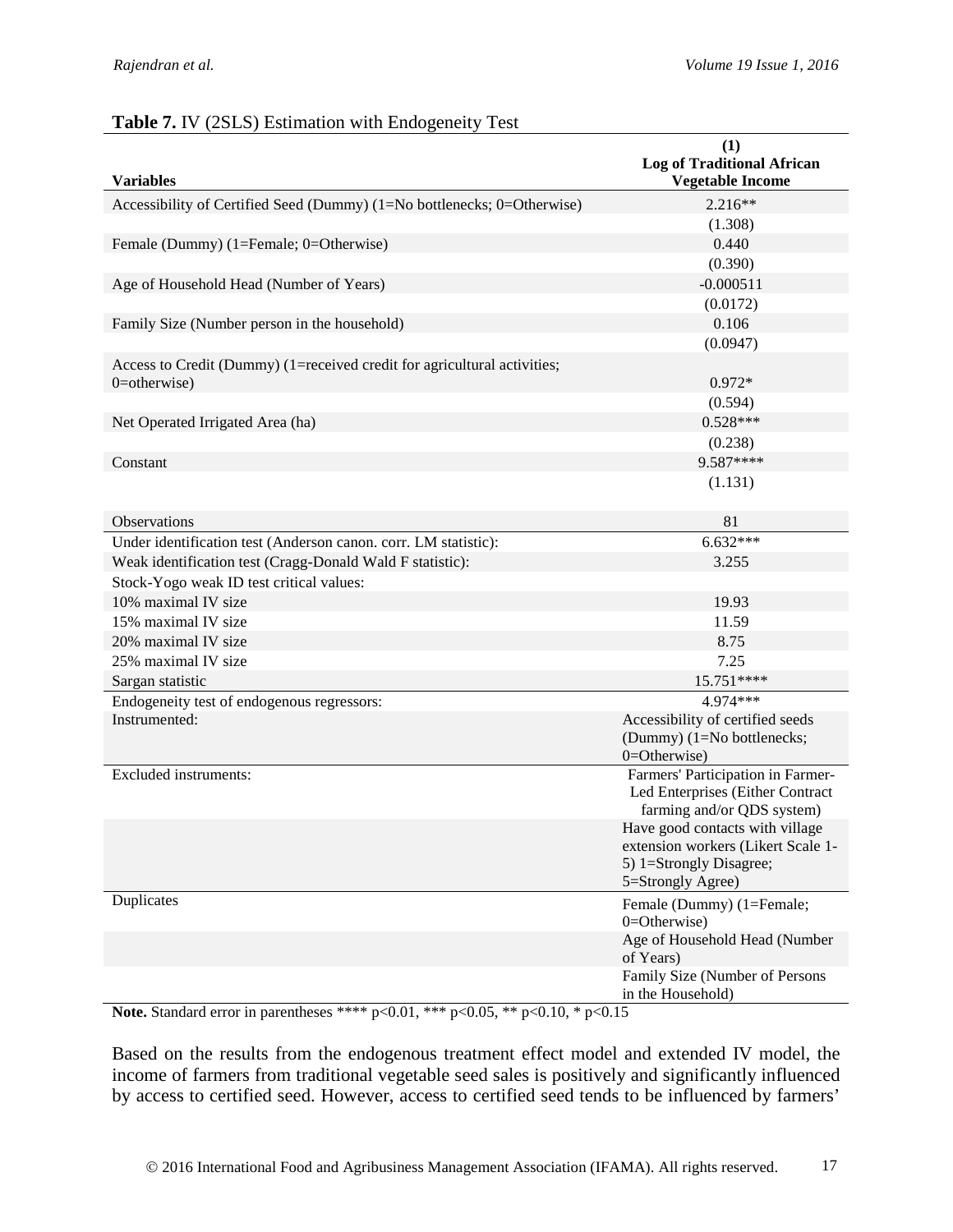|                                                                                             | (1)<br><b>Log of Traditional African</b>                                                                              |
|---------------------------------------------------------------------------------------------|-----------------------------------------------------------------------------------------------------------------------|
| <b>Variables</b>                                                                            | <b>Vegetable Income</b>                                                                                               |
| Accessibility of Certified Seed (Dummy) (1=No bottlenecks; 0=Otherwise)                     | 2.216**                                                                                                               |
|                                                                                             | (1.308)                                                                                                               |
| Female (Dummy) (1=Female; 0=Otherwise)                                                      | 0.440                                                                                                                 |
|                                                                                             | (0.390)                                                                                                               |
| Age of Household Head (Number of Years)                                                     | $-0.000511$                                                                                                           |
|                                                                                             | (0.0172)                                                                                                              |
| Family Size (Number person in the household)                                                | 0.106                                                                                                                 |
|                                                                                             | (0.0947)                                                                                                              |
| Access to Credit (Dummy) (1=received credit for agricultural activities;<br>$0$ =otherwise) | $0.972*$                                                                                                              |
|                                                                                             | (0.594)                                                                                                               |
| Net Operated Irrigated Area (ha)                                                            | $0.528***$                                                                                                            |
|                                                                                             | (0.238)                                                                                                               |
| Constant                                                                                    | 9.587****                                                                                                             |
|                                                                                             | (1.131)                                                                                                               |
| Observations                                                                                | 81                                                                                                                    |
| Under identification test (Anderson canon. corr. LM statistic):                             | $6.632***$                                                                                                            |
| Weak identification test (Cragg-Donald Wald F statistic):                                   | 3.255                                                                                                                 |
| Stock-Yogo weak ID test critical values:                                                    |                                                                                                                       |
| 10% maximal IV size                                                                         | 19.93                                                                                                                 |
| 15% maximal IV size                                                                         | 11.59                                                                                                                 |
| 20% maximal IV size                                                                         | 8.75                                                                                                                  |
| 25% maximal IV size                                                                         | 7.25                                                                                                                  |
| Sargan statistic                                                                            | 15.751****                                                                                                            |
| Endogeneity test of endogenous regressors:                                                  | 4.974***                                                                                                              |
| Instrumented:                                                                               | Accessibility of certified seeds<br>(Dummy) (1=No bottlenecks;<br>$0 =$ Otherwise)                                    |
| <b>Excluded</b> instruments:                                                                | Farmers' Participation in Farmer-<br>Led Enterprises (Either Contract<br>farming and/or QDS system)                   |
|                                                                                             | Have good contacts with village<br>extension workers (Likert Scale 1-<br>5) 1=Strongly Disagree;<br>5=Strongly Agree) |
| Duplicates                                                                                  | Female (Dummy) (1=Female;<br>$0 =$ Otherwise)                                                                         |
|                                                                                             | Age of Household Head (Number<br>of Years)                                                                            |
|                                                                                             | Family Size (Number of Persons<br>in the Household)                                                                   |

#### **Table 7.** IV (2SLS) Estimation with Endogeneity Test

**Note.** Standard error in parentheses \*\*\*\* p<0.01, \*\*\* p<0.05, \*\* p<0.10, \* p<0.15

Based on the results from the endogenous treatment effect model and extended IV model, the income of farmers from traditional vegetable seed sales is positively and significantly influenced by access to certified seed. However, access to certified seed tends to be influenced by farmers'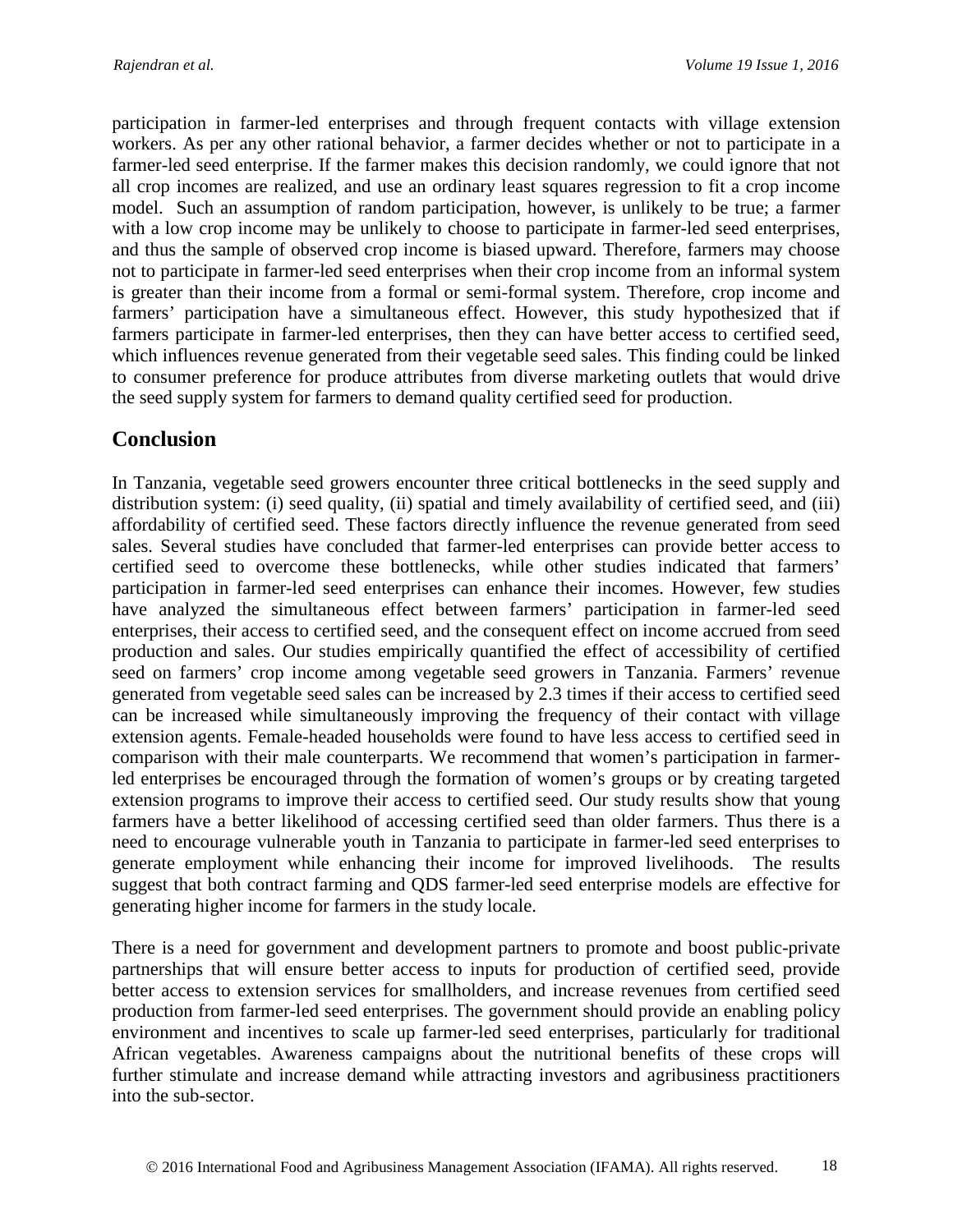participation in farmer-led enterprises and through frequent contacts with village extension workers. As per any other rational behavior, a farmer decides whether or not to participate in a farmer-led seed enterprise. If the farmer makes this decision randomly, we could ignore that not all crop incomes are realized, and use an ordinary least squares regression to fit a crop income model. Such an assumption of random participation, however, is unlikely to be true; a farmer with a low crop income may be unlikely to choose to participate in farmer-led seed enterprises, and thus the sample of observed crop income is biased upward. Therefore, farmers may choose not to participate in farmer-led seed enterprises when their crop income from an informal system is greater than their income from a formal or semi-formal system. Therefore, crop income and farmers' participation have a simultaneous effect. However, this study hypothesized that if farmers participate in farmer-led enterprises, then they can have better access to certified seed, which influences revenue generated from their vegetable seed sales. This finding could be linked to consumer preference for produce attributes from diverse marketing outlets that would drive the seed supply system for farmers to demand quality certified seed for production.

### **Conclusion**

In Tanzania, vegetable seed growers encounter three critical bottlenecks in the seed supply and distribution system: (i) seed quality, (ii) spatial and timely availability of certified seed, and (iii) affordability of certified seed. These factors directly influence the revenue generated from seed sales. Several studies have concluded that farmer-led enterprises can provide better access to certified seed to overcome these bottlenecks, while other studies indicated that farmers' participation in farmer-led seed enterprises can enhance their incomes. However, few studies have analyzed the simultaneous effect between farmers' participation in farmer-led seed enterprises, their access to certified seed, and the consequent effect on income accrued from seed production and sales. Our studies empirically quantified the effect of accessibility of certified seed on farmers' crop income among vegetable seed growers in Tanzania. Farmers' revenue generated from vegetable seed sales can be increased by 2.3 times if their access to certified seed can be increased while simultaneously improving the frequency of their contact with village extension agents. Female-headed households were found to have less access to certified seed in comparison with their male counterparts. We recommend that women's participation in farmerled enterprises be encouraged through the formation of women's groups or by creating targeted extension programs to improve their access to certified seed. Our study results show that young farmers have a better likelihood of accessing certified seed than older farmers. Thus there is a need to encourage vulnerable youth in Tanzania to participate in farmer-led seed enterprises to generate employment while enhancing their income for improved livelihoods. The results suggest that both contract farming and QDS farmer-led seed enterprise models are effective for generating higher income for farmers in the study locale.

There is a need for government and development partners to promote and boost public-private partnerships that will ensure better access to inputs for production of certified seed, provide better access to extension services for smallholders, and increase revenues from certified seed production from farmer-led seed enterprises. The government should provide an enabling policy environment and incentives to scale up farmer-led seed enterprises, particularly for traditional African vegetables. Awareness campaigns about the nutritional benefits of these crops will further stimulate and increase demand while attracting investors and agribusiness practitioners into the sub-sector.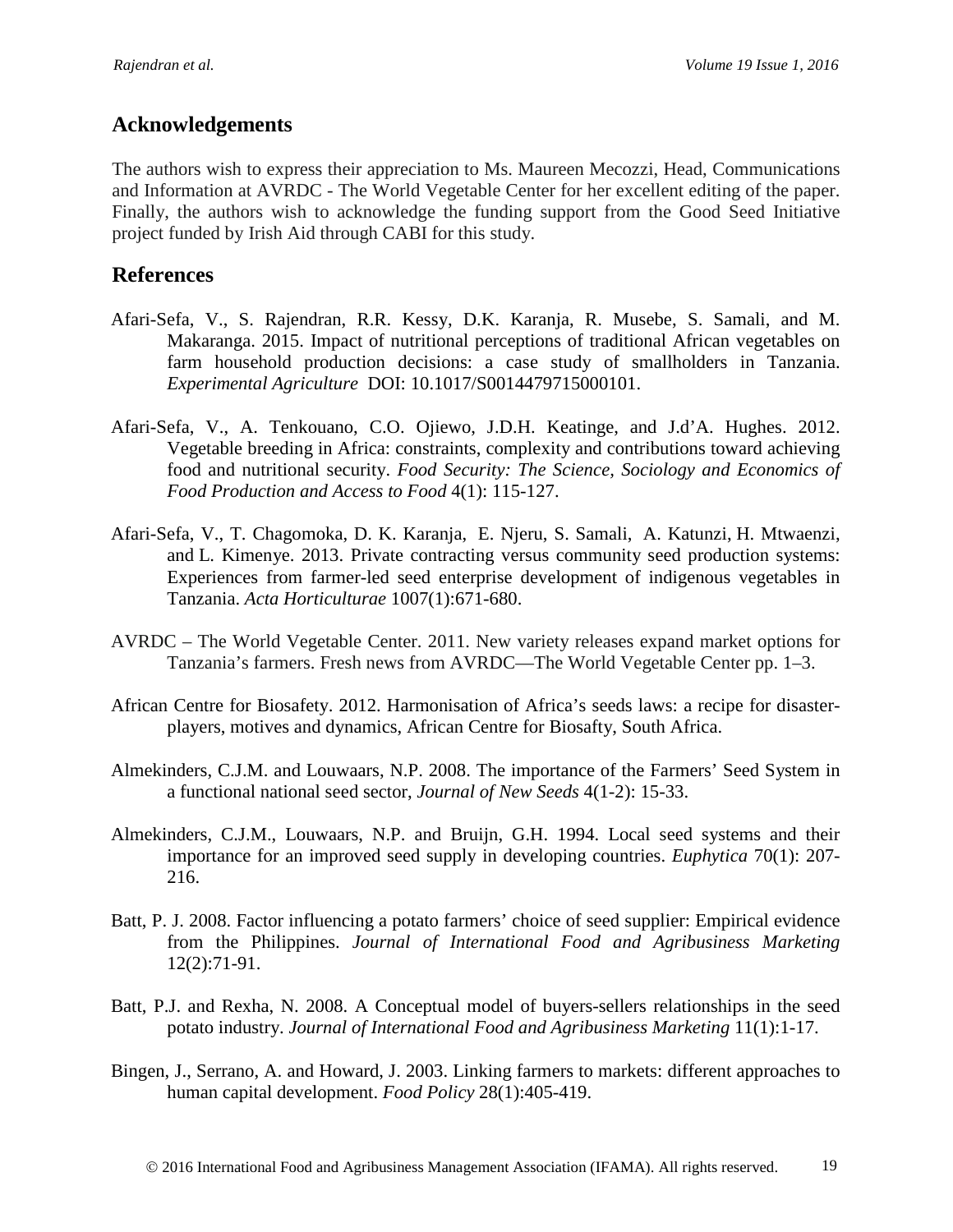### **Acknowledgements**

The authors wish to express their appreciation to Ms. Maureen Mecozzi, Head, Communications and Information at AVRDC - The World Vegetable Center for her excellent editing of the paper. Finally, the authors wish to acknowledge the funding support from the Good Seed Initiative project funded by Irish Aid through CABI for this study.

### **References**

- Afari-Sefa, V., S. Rajendran, R.R. Kessy, D.K. Karanja, R. Musebe, S. Samali, and M. Makaranga. 2015. Impact of nutritional perceptions of traditional African vegetables on farm household production decisions: a case study of smallholders in Tanzania. *Experimental Agriculture* DOI: 10.1017/S0014479715000101.
- Afari-Sefa, V., A. Tenkouano, C.O. Ojiewo, J.D.H. Keatinge, and J.d'A. Hughes. 2012. Vegetable breeding in Africa: constraints, complexity and contributions toward achieving food and nutritional security. *Food Security: The Science, Sociology and Economics of Food Production and Access to Food* 4(1): 115-127.
- Afari-Sefa, V., T. Chagomoka, D. K. Karanja, E. Njeru, S. Samali, A. Katunzi, H. Mtwaenzi, and L. Kimenye. 2013. Private contracting versus community seed production systems: Experiences from farmer-led seed enterprise development of indigenous vegetables in Tanzania. *Acta Horticulturae* 1007(1):671-680.
- AVRDC The World Vegetable Center. 2011. New variety releases expand market options for Tanzania's farmers. Fresh news from AVRDC—The World Vegetable Center pp. 1–3.
- African Centre for Biosafety. 2012. Harmonisation of Africa's seeds laws: a recipe for disasterplayers, motives and dynamics, African Centre for Biosafty, South Africa.
- Almekinders, C.J.M. and Louwaars, N.P. 2008. The importance of the Farmers' Seed System in a functional national seed sector, *Journal of New Seeds* 4(1-2): 15-33.
- Almekinders, C.J.M., Louwaars, N.P. and Bruijn, G.H. 1994. Local seed systems and their importance for an improved seed supply in developing countries. *Euphytica* 70(1): 207- 216.
- Batt, P. J. 2008. Factor influencing a potato farmers' choice of seed supplier: Empirical evidence from the Philippines. *Journal of International Food and Agribusiness Marketing* 12(2):71-91.
- Batt, P.J. and Rexha, N. 2008. A Conceptual model of buyers-sellers relationships in the seed potato industry. *Journal of International Food and Agribusiness Marketing* 11(1):1-17.
- Bingen, J., Serrano, A. and Howard, J. 2003. Linking farmers to markets: different approaches to human capital development. *Food Policy* 28(1):405-419.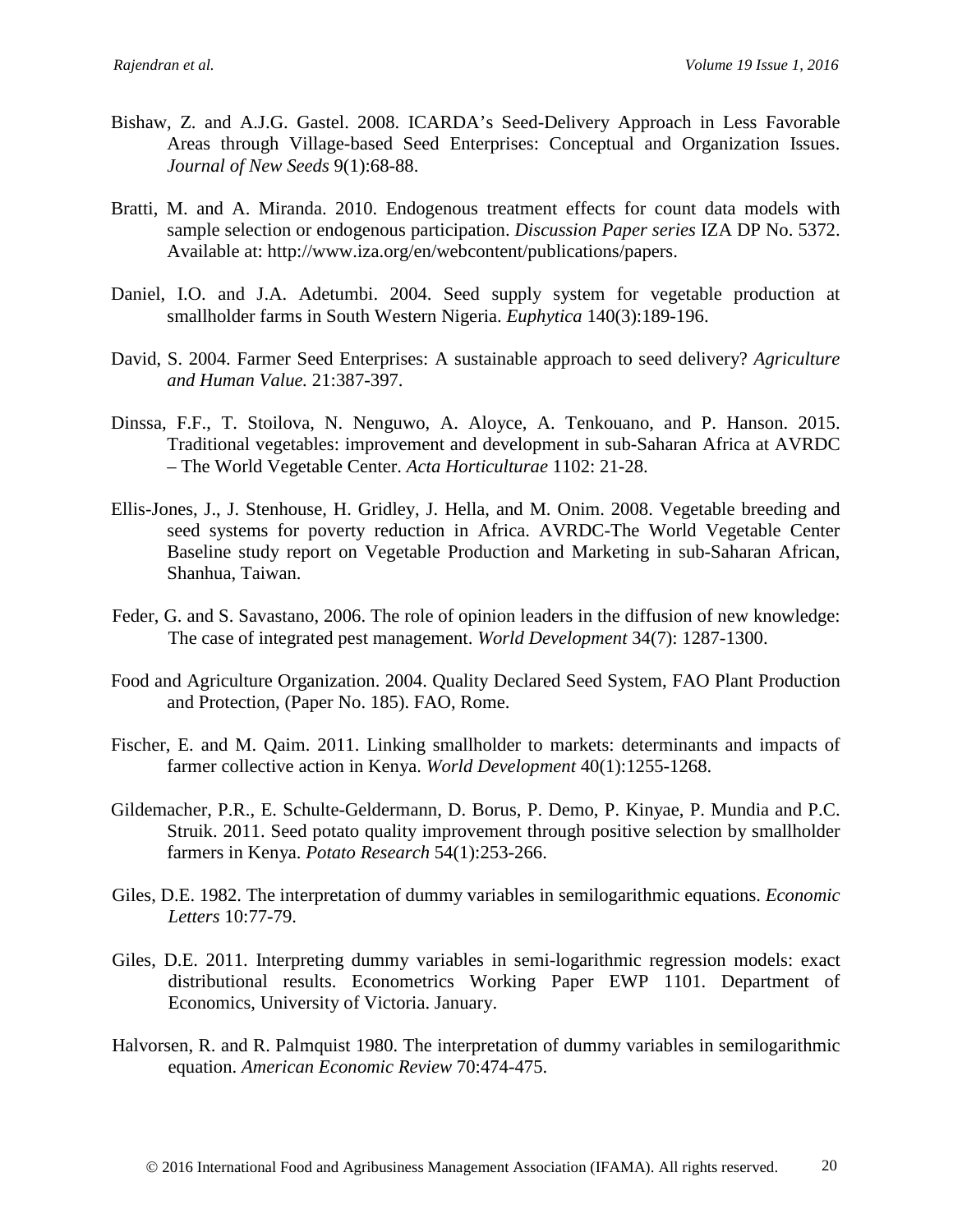- Bishaw, Z. and A.J.G. Gastel. 2008. ICARDA's Seed-Delivery Approach in Less Favorable Areas through Village-based Seed Enterprises: Conceptual and Organization Issues. *Journal of New Seeds* 9(1):68-88.
- Bratti, M. and A. Miranda. 2010. Endogenous treatment effects for count data models with sample selection or endogenous participation. *Discussion Paper series* IZA DP No. 5372. Available at: http://www.iza.org/en/webcontent/publications/papers.
- Daniel, I.O. and J.A. Adetumbi. 2004. Seed supply system for vegetable production at smallholder farms in South Western Nigeria. *Euphytica* 140(3):189-196.
- David, S. 2004. Farmer Seed Enterprises: A sustainable approach to seed delivery? *Agriculture and Human Value.* 21:387-397.
- Dinssa, F.F., T. Stoilova, N. Nenguwo, A. Aloyce, A. Tenkouano, and P. Hanson. 2015. Traditional vegetables: improvement and development in sub-Saharan Africa at AVRDC – The World Vegetable Center. *Acta Horticulturae* 1102: 21-28.
- Ellis-Jones, J., J. Stenhouse, H. Gridley, J. Hella, and M. Onim. 2008. Vegetable breeding and seed systems for poverty reduction in Africa. AVRDC-The World Vegetable Center Baseline study report on Vegetable Production and Marketing in sub-Saharan African, Shanhua, Taiwan.
- Feder, G. and S. Savastano, 2006. The role of opinion leaders in the diffusion of new knowledge: The case of integrated pest management. *World Development* 34(7): 1287-1300.
- Food and Agriculture Organization. 2004. Quality Declared Seed System, FAO Plant Production and Protection, (Paper No. 185). FAO, Rome.
- Fischer, E. and M. Qaim. 2011. Linking smallholder to markets: determinants and impacts of farmer collective action in Kenya. *World Development* 40(1):1255-1268.
- Gildemacher, P.R., E. Schulte-Geldermann, D. Borus, P. Demo, P. Kinyae, P. Mundia and P.C. Struik. 2011. Seed potato quality improvement through positive selection by smallholder farmers in Kenya. *Potato Research* 54(1):253-266.
- Giles, D.E. 1982. The interpretation of dummy variables in semilogarithmic equations. *Economic Letters* 10:77-79.
- Giles, D.E. 2011. Interpreting dummy variables in semi-logarithmic regression models: exact distributional results. Econometrics Working Paper EWP 1101. Department of Economics, University of Victoria. January.
- Halvorsen, R. and R. Palmquist 1980. The interpretation of dummy variables in semilogarithmic equation. *American Economic Review* 70:474-475.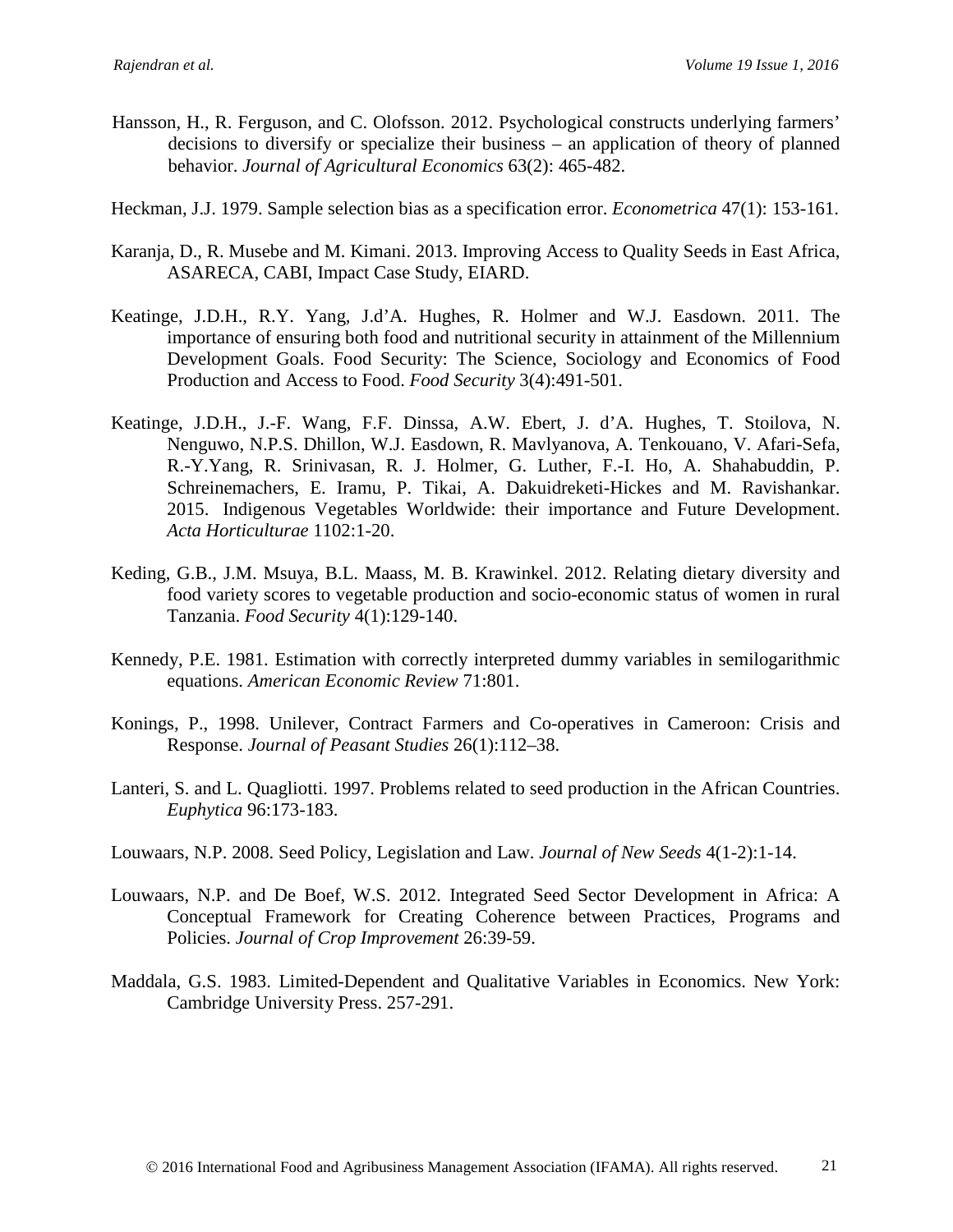- Hansson, H., R. Ferguson, and C. Olofsson. 2012. Psychological constructs underlying farmers' decisions to diversify or specialize their business – an application of theory of planned behavior. *Journal of Agricultural Economics* 63(2): 465-482.
- Heckman, J.J. 1979. Sample selection bias as a specification error. *Econometrica* 47(1): 153-161.
- Karanja, D., R. Musebe and M. Kimani. 2013. Improving Access to Quality Seeds in East Africa, ASARECA, CABI, Impact Case Study, EIARD.
- Keatinge, J.D.H., R.Y. Yang, J.d'A. Hughes, R. Holmer and W.J. Easdown. 2011. The importance of ensuring both food and nutritional security in attainment of the Millennium Development Goals. Food Security: The Science, Sociology and Economics of Food Production and Access to Food. *Food Security* 3(4):491-501.
- Keatinge, J.D.H., J.-F. Wang, F.F. Dinssa, A.W. Ebert, J. d'A. Hughes, T. Stoilova, N. Nenguwo, N.P.S. Dhillon, W.J. Easdown, R. Mavlyanova, A. Tenkouano, V. Afari-Sefa, R.-Y.Yang, R. Srinivasan, R. J. Holmer, G. Luther, F.-I. Ho, A. Shahabuddin, P. Schreinemachers, E. Iramu, P. Tikai, A. Dakuidreketi-Hickes and M. Ravishankar. 2015. Indigenous Vegetables Worldwide: their importance and Future Development. *Acta Horticulturae* 1102:1-20.
- Keding, G.B., J.M. Msuya, B.L. Maass, M. B. Krawinkel. 2012. Relating dietary diversity and food variety scores to vegetable production and socio-economic status of women in rural Tanzania. *Food Security* 4(1):129-140.
- Kennedy, P.E. 1981. Estimation with correctly interpreted dummy variables in semilogarithmic equations. *American Economic Review* 71:801.
- Konings, P., 1998. Unilever, Contract Farmers and Co-operatives in Cameroon: Crisis and Response. *Journal of Peasant Studies* 26(1):112–38.
- Lanteri, S. and L. Quagliotti. 1997. Problems related to seed production in the African Countries. *Euphytica* 96:173-183.
- Louwaars, N.P. 2008. Seed Policy, Legislation and Law. *Journal of New Seeds* 4(1-2):1-14.
- Louwaars, N.P. and De Boef, W.S. 2012. Integrated Seed Sector Development in Africa: A Conceptual Framework for Creating Coherence between Practices, Programs and Policies. *Journal of Crop Improvement* 26:39-59.
- Maddala, G.S. 1983. Limited-Dependent and Qualitative Variables in Economics. New York: Cambridge University Press. 257-291.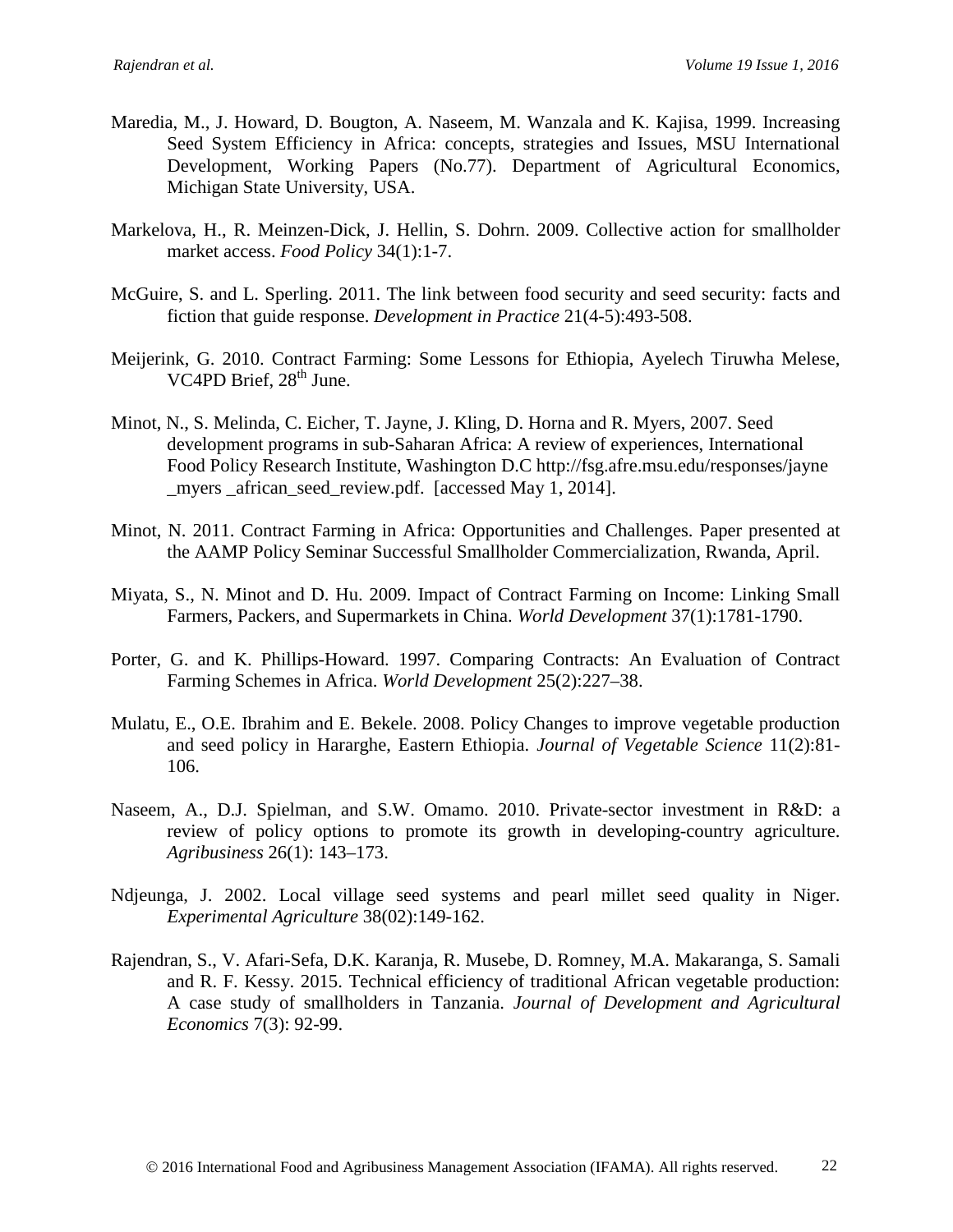- Maredia, M., J. Howard, D. Bougton, A. Naseem, M. Wanzala and K. Kajisa, 1999. Increasing Seed System Efficiency in Africa: concepts, strategies and Issues, MSU International Development, Working Papers (No.77). Department of Agricultural Economics, Michigan State University, USA.
- Markelova, H., R. Meinzen-Dick, J. Hellin, S. Dohrn. 2009. Collective action for smallholder market access. *Food Policy* 34(1):1-7.
- McGuire, S. and L. Sperling. 2011. The link between food security and seed security: facts and fiction that guide response. *Development in Practice* 21(4-5):493-508.
- Meijerink, G. 2010. Contract Farming: Some Lessons for Ethiopia, Ayelech Tiruwha Melese, VC4PD Brief,  $28<sup>th</sup>$  June.
- Minot, N., S. Melinda, C. Eicher, T. Jayne, J. Kling, D. Horna and R. Myers, 2007. Seed development programs in sub-Saharan Africa: A review of experiences, International Food Policy Research Institute, Washington D.C http://fsg.afre.msu.edu/responses/jayne \_myers \_african\_seed\_review.pdf. [accessed May 1, 2014].
- Minot, N. 2011. Contract Farming in Africa: Opportunities and Challenges. Paper presented at the AAMP Policy Seminar Successful Smallholder Commercialization, Rwanda, April.
- Miyata, S., N. Minot and D. Hu. 2009. Impact of Contract Farming on Income: Linking Small Farmers, Packers, and Supermarkets in China. *World Development* 37(1):1781-1790.
- Porter, G. and K. Phillips-Howard. 1997. Comparing Contracts: An Evaluation of Contract Farming Schemes in Africa. *World Development* 25(2):227–38.
- Mulatu, E., O.E. Ibrahim and E. Bekele. 2008. Policy Changes to improve vegetable production and seed policy in Hararghe, Eastern Ethiopia. *Journal of Vegetable Science* 11(2):81- 106.
- Naseem, A., D.J. Spielman, and S.W. Omamo. 2010. Private-sector investment in R&D: a review of policy options to promote its growth in developing-country agriculture. *Agribusiness* 26(1): 143–173.
- Ndjeunga, J. 2002. Local village seed systems and pearl millet seed quality in Niger. *Experimental Agriculture* 38(02):149-162.
- Rajendran, S., V. Afari-Sefa, D.K. Karanja, R. Musebe, D. Romney, M.A. Makaranga, S. Samali and R. F. Kessy. 2015. Technical efficiency of traditional African vegetable production: A case study of smallholders in Tanzania. *Journal of Development and Agricultural Economics* 7(3): 92-99.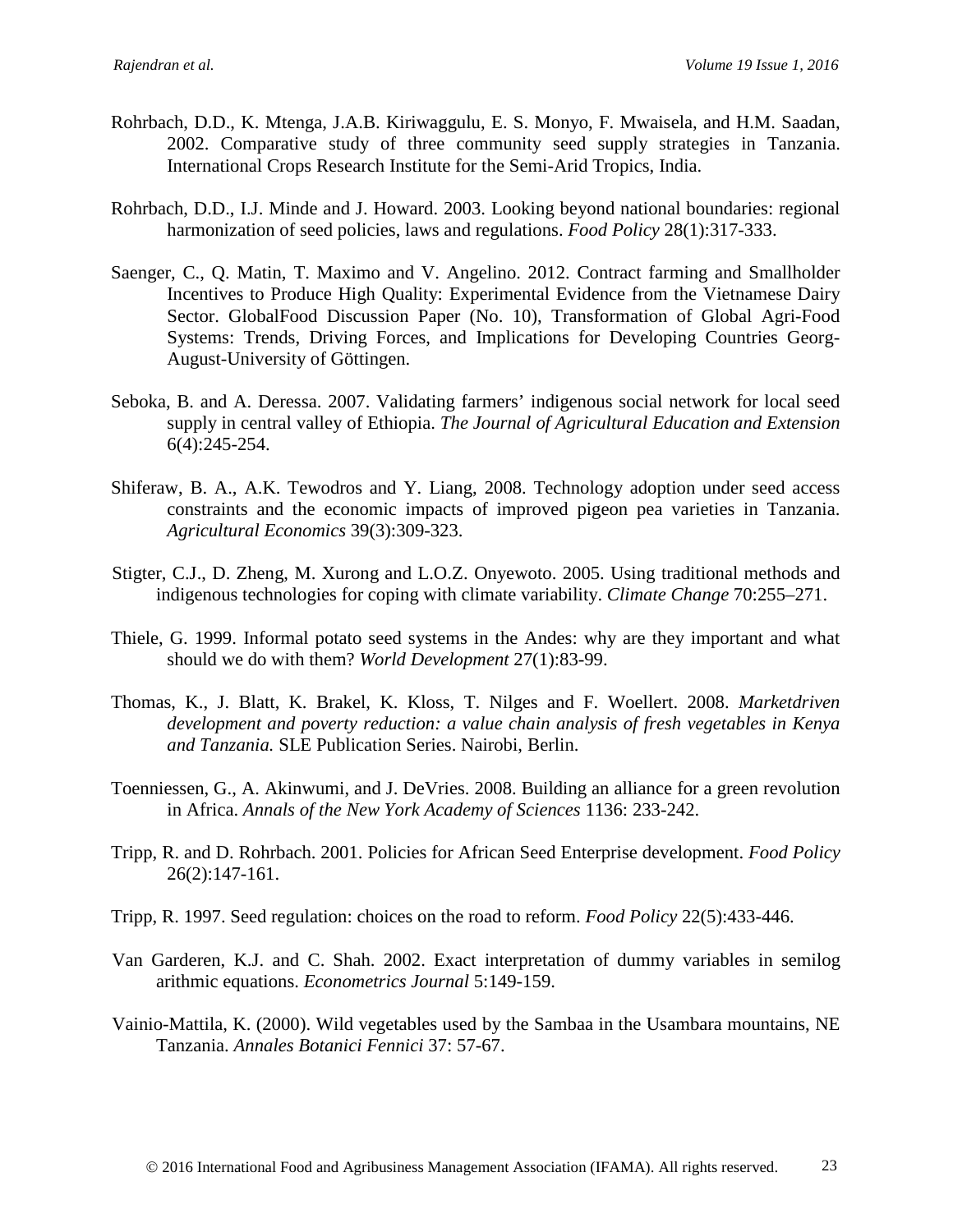- Rohrbach, D.D., K. Mtenga, J.A.B. Kiriwaggulu, E. S. Monyo, F. Mwaisela, and H.M. Saadan, 2002. Comparative study of three community seed supply strategies in Tanzania. International Crops Research Institute for the Semi-Arid Tropics, India.
- Rohrbach, D.D., I.J. Minde and J. Howard. 2003. Looking beyond national boundaries: regional harmonization of seed policies, laws and regulations. *Food Policy* 28(1):317-333.
- Saenger, C., Q. Matin, T. Maximo and V. Angelino. 2012. Contract farming and Smallholder Incentives to Produce High Quality: Experimental Evidence from the Vietnamese Dairy Sector. GlobalFood Discussion Paper (No. 10), Transformation of Global Agri-Food Systems: Trends, Driving Forces, and Implications for Developing Countries Georg-August-University of Göttingen.
- Seboka, B. and A. Deressa. 2007. Validating farmers' indigenous social network for local seed supply in central valley of Ethiopia. *The Journal of Agricultural Education and Extension* 6(4):245-254.
- Shiferaw, B. A., A.K. Tewodros and Y. Liang, 2008. Technology adoption under seed access constraints and the economic impacts of improved pigeon pea varieties in Tanzania. *Agricultural Economics* 39(3):309-323.
- Stigter, C.J., D. Zheng, M. Xurong and L.O.Z. Onyewoto. 2005. Using traditional methods and indigenous technologies for coping with climate variability. *Climate Change* 70:255–271.
- Thiele, G. 1999. Informal potato seed systems in the Andes: why are they important and what should we do with them? *World Development* 27(1):83-99.
- Thomas, K., J. Blatt, K. Brakel, K. Kloss, T. Nilges and F. Woellert. 2008. *Marketdriven development and poverty reduction: a value chain analysis of fresh vegetables in Kenya and Tanzania.* SLE Publication Series. Nairobi, Berlin.
- Toenniessen, G., A. Akinwumi, and J. DeVries. 2008. Building an alliance for a green revolution in Africa. *Annals of the New York Academy of Sciences* 1136: 233-242.
- Tripp, R. and D. Rohrbach. 2001. Policies for African Seed Enterprise development. *Food Policy* 26(2):147-161.
- Tripp, R. 1997. Seed regulation: choices on the road to reform. *Food Policy* 22(5):433-446.
- Van Garderen, K.J. and C. Shah. 2002. Exact interpretation of dummy variables in semilog arithmic equations. *Econometrics Journal* 5:149-159.
- Vainio-Mattila, K. (2000). Wild vegetables used by the Sambaa in the Usambara mountains, NE Tanzania. *Annales Botanici Fennici* 37: 57-67.